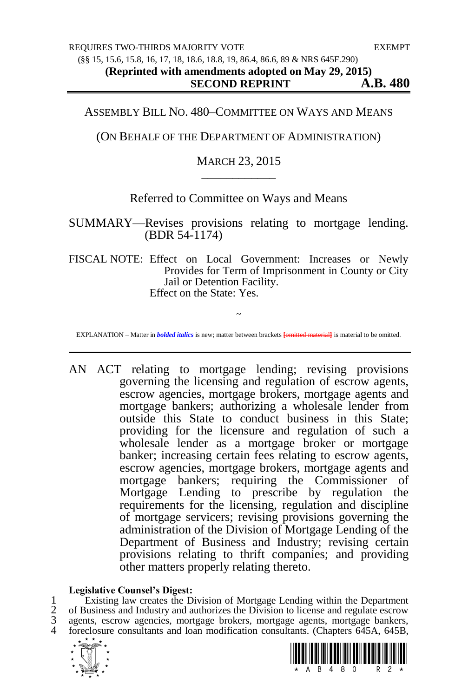### ASSEMBLY BILL NO. 480–COMMITTEE ON WAYS AND MEANS

## (ON BEHALF OF THE DEPARTMENT OF ADMINISTRATION)

## MARCH 23, 2015 \_\_\_\_\_\_\_\_\_\_\_\_

# Referred to Committee on Ways and Means

SUMMARY—Revises provisions relating to mortgage lending. (BDR 54-1174)

FISCAL NOTE: Effect on Local Government: Increases or Newly Provides for Term of Imprisonment in County or City Jail or Detention Facility. Effect on the State: Yes.

~ EXPLANATION – Matter in *bolded italics* is new; matter between brackets **[**omitted material**]** is material to be omitted.

AN ACT relating to mortgage lending; revising provisions governing the licensing and regulation of escrow agents, escrow agencies, mortgage brokers, mortgage agents and mortgage bankers; authorizing a wholesale lender from outside this State to conduct business in this State; providing for the licensure and regulation of such a wholesale lender as a mortgage broker or mortgage banker; increasing certain fees relating to escrow agents, escrow agencies, mortgage brokers, mortgage agents and mortgage bankers; requiring the Commissioner of Mortgage Lending to prescribe by regulation the requirements for the licensing, regulation and discipline of mortgage servicers; revising provisions governing the administration of the Division of Mortgage Lending of the Department of Business and Industry; revising certain provisions relating to thrift companies; and providing other matters properly relating thereto.

#### **Legislative Counsel's Digest:**

1 Existing law creates the Division of Mortgage Lending within the Department<br>2 of Business and Industry and authorizes the Division to license and regulate escrow<br>3 agents, escrow agencies, mortgage brokers, mortgage agen of Business and Industry and authorizes the Division to license and regulate escrow agents, escrow agencies, mortgage brokers, mortgage agents, mortgage bankers, foreclosure consultants and loan modification consultants. (Chapters 645A, 645B,



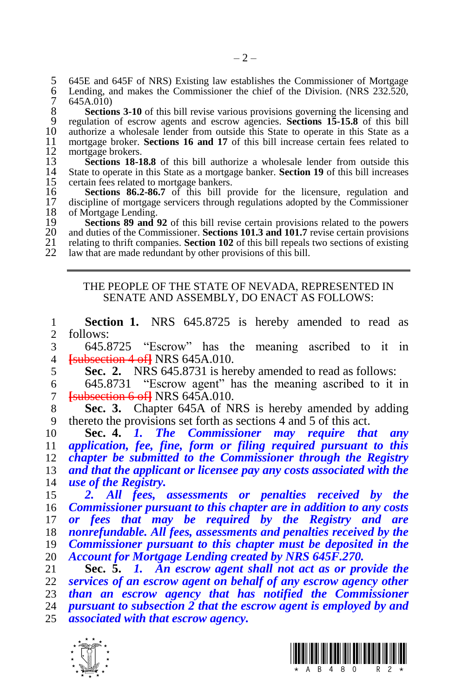5 645E and 645F of NRS) Existing law establishes the Commissioner of Mortgage<br>6 Lending, and makes the Commissioner the chief of the Division. (NRS 232.520,<br>7 645A.010) Lending, and makes the Commissioner the chief of the Division. (NRS  $232.520$ , 7 645A.010)<br>8 **Section** 

8 **Sections 3-10** of this bill revise various provisions governing the licensing and regulation of escrow agents and escrow agencies. **Sections 15-15.8** of this bill regulation of escrow agents and escrow agencies. **Sections 15-15.8** of this bill 10 authorize a wholesale lender from outside this State to operate in this State as a 11 mortgage broker. **Sections 16 and 17** of this bill increase certain fees related to mortgage broker. **Sections 16 and 17** of this bill increase certain fees related to 12 mortgage brokers.<br>13 **Sections 18-1** 

**Sections 18-18.8** of this bill authorize a wholesale lender from outside this 14 State to operate in this State as a mortgage banker. **Section 19** of this bill increases State to operate in this State as a mortgage banker. **Section 19** of this bill increases 15 certain fees related to mortgage bankers.<br>16 **Sections 86.2-86.7** of this bill pr

**Sections 86.2-86.7** of this bill provide for the licensure, regulation and discipline of mortgage servicers through regulations adopted by the Commissioner 17 discipline of mortgage servicers through regulations adopted by the Commissioner 18 of Mortgage Lending. 18 of Mortgage Lending.<br>19 **Sections 89 and** 

**Sections 89 and 92** of this bill revise certain provisions related to the powers 20 and duties of the Commissioner. **Sections 101.3 and 101.7** revise certain provisions 20 and duties of the Commissioner. **Sections 101.3 and 101.7** revise certain provisions 21 relating to thrift companies. **Section 102** of this bill repeals two sections of existing 21 relating to thrift companies. **Section 102** of this bill repeals two sections of existing 122 law that are made redundant by other provisions of this bill law that are made redundant by other provisions of this bill.

#### THE PEOPLE OF THE STATE OF NEVADA, REPRESENTED IN SENATE AND ASSEMBLY, DO ENACT AS FOLLOWS:

**Section 1.** NRS 645.8725 is hereby amended to read as 2 follows: follows:

 645.8725 "Escrow" has the meaning ascribed to it in **[**subsection 4 of**]** NRS 645A.010.

**Sec. 2.** NRS 645.8731 is hereby amended to read as follows:

 645.8731 "Escrow agent" has the meaning ascribed to it in **[**subsection 6 of**]** NRS 645A.010.

 **Sec. 3.** Chapter 645A of NRS is hereby amended by adding thereto the provisions set forth as sections 4 and 5 of this act.

 **Sec. 4.** *1. The Commissioner may require that any application, fee, fine, form or filing required pursuant to this chapter be submitted to the Commissioner through the Registry and that the applicant or licensee pay any costs associated with the use of the Registry.* 

 *2. All fees, assessments or penalties received by the Commissioner pursuant to this chapter are in addition to any costs or fees that may be required by the Registry and are nonrefundable. All fees, assessments and penalties received by the Commissioner pursuant to this chapter must be deposited in the Account for Mortgage Lending created by NRS 645F.270.*

 **Sec. 5.** *1. An escrow agent shall not act as or provide the services of an escrow agent on behalf of any escrow agency other than an escrow agency that has notified the Commissioner pursuant to subsection 2 that the escrow agent is employed by and associated with that escrow agency.*



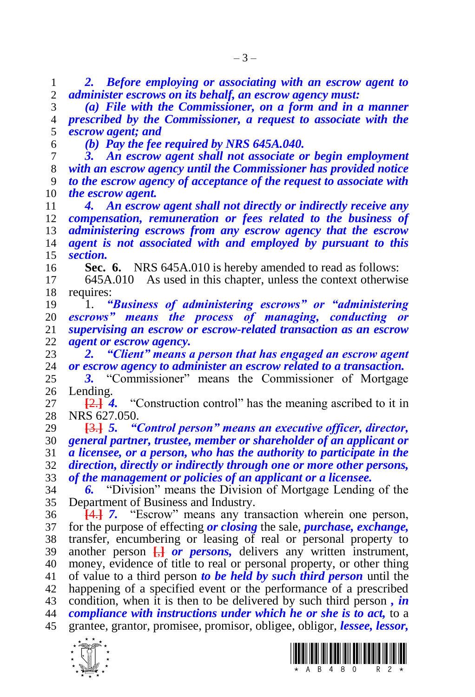*2. Before employing or associating with an escrow agent to administer escrows on its behalf, an escrow agency must:*

 *(a) File with the Commissioner, on a form and in a manner prescribed by the Commissioner, a request to associate with the escrow agent; and*

*(b) Pay the fee required by NRS 645A.040.*

 *3. An escrow agent shall not associate or begin employment with an escrow agency until the Commissioner has provided notice to the escrow agency of acceptance of the request to associate with the escrow agent.*

 *4. An escrow agent shall not directly or indirectly receive any compensation, remuneration or fees related to the business of administering escrows from any escrow agency that the escrow agent is not associated with and employed by pursuant to this section.*

**Sec. 6.** NRS 645A.010 is hereby amended to read as follows:

 645A.010 As used in this chapter, unless the context otherwise requires:

 1. *"Business of administering escrows" or "administering escrows" means the process of managing, conducting or supervising an escrow or escrow-related transaction as an escrow agent or escrow agency.*

 *2. "Client" means a person that has engaged an escrow agent or escrow agency to administer an escrow related to a transaction.*

 *3.* "Commissioner" means the Commissioner of Mortgage Lending.

 **[**2.**]** *4.* "Construction control" has the meaning ascribed to it in NRS 627.050.

 **[**3.**]** *5. "Control person" means an executive officer, director, general partner, trustee, member or shareholder of an applicant or a licensee, or a person, who has the authority to participate in the direction, directly or indirectly through one or more other persons,* 

*of the management or policies of an applicant or a licensee.*

 *6.* "Division" means the Division of Mortgage Lending of the Department of Business and Industry.

 **[**4.**]** *7.* "Escrow" means any transaction wherein one person, for the purpose of effecting *or closing* the sale, *purchase, exchange,*  transfer, encumbering or leasing of real or personal property to another person **[**,**]** *or persons,* delivers any written instrument, money, evidence of title to real or personal property, or other thing of value to a third person *to be held by such third person* until the happening of a specified event or the performance of a prescribed condition, when it is then to be delivered by such third person *, in compliance with instructions under which he or she is to act,* to a grantee, grantor, promisee, promisor, obligee, obligor, *lessee, lessor,* 



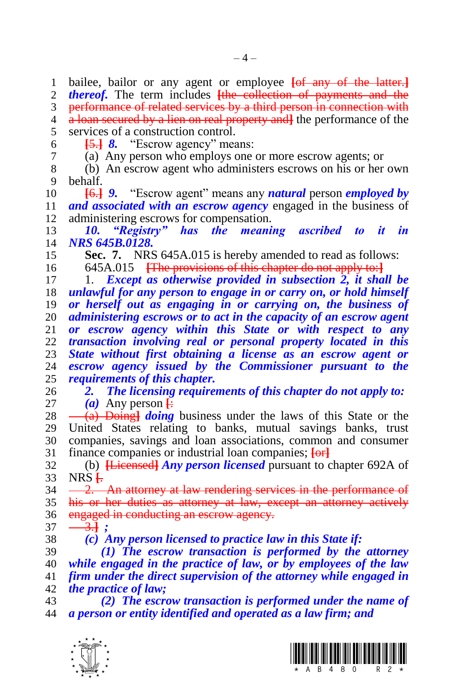bailee, bailor or any agent or employee **[**of any of the latter.**]** *thereof*. The term includes **[the collection of payments and the** 3 performance of related services by a third person in connection with a loan secured by a lien on real property and**]** the performance of the services of a construction control. **[**5.**]** *8.* "Escrow agency" means: (a) Any person who employs one or more escrow agents; or (b) An escrow agent who administers escrows on his or her own behalf. **[**6.**]** *9.* "Escrow agent" means any *natural* person *employed by and associated with an escrow agency* engaged in the business of administering escrows for compensation. *10. "Registry" has the meaning ascribed to it in NRS 645B.0128.* **Sec. 7.** NRS 645A.015 is hereby amended to read as follows: 645A.015 **[**The provisions of this chapter do not apply to:**]** 1. *Except as otherwise provided in subsection 2, it shall be unlawful for any person to engage in or carry on, or hold himself or herself out as engaging in or carrying on, the business of administering escrows or to act in the capacity of an escrow agent or escrow agency within this State or with respect to any transaction involving real or personal property located in this State without first obtaining a license as an escrow agent or*  escrow agency issued by the Commissioner pursuant to the *requirements of this chapter. 2. The licensing requirements of this chapter do not apply to:*  $(a)$  Any person  $\vdash$ 28 <del>(a) Doing *doing*</del> business under the laws of this State or the United States relating to banks, mutual savings banks, trust companies, savings and loan associations, common and consumer finance companies or industrial loan companies; **[**or**]** (b) **[**Licensed**]** *Any person licensed* pursuant to chapter 692A of NRS **[**.  $34 -2$ . An attorney at law rendering services in the performance of his or her duties as attorney at law, except an attorney actively 36 engaged in conducting an escrow agency.  $37 - 3.$ **}** ; *(c) Any person licensed to practice law in this State if: (1) The escrow transaction is performed by the attorney while engaged in the practice of law, or by employees of the law firm under the direct supervision of the attorney while engaged in the practice of law; (2) The escrow transaction is performed under the name of a person or entity identified and operated as a law firm; and*



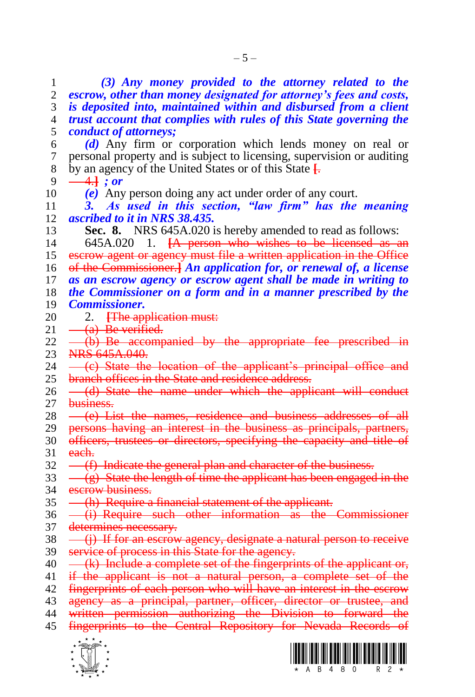1 *(3) Any money provided to the attorney related to the*  2 *escrow, other than money designated for attorney's fees and costs,*  3 *is deposited into, maintained within and disbursed from a client*  4 *trust account that complies with rules of this State governing the*  5 *conduct of attorneys;* 6 *(d)* Any firm or corporation which lends money on real or 7 personal property and is subject to licensing, supervision or auditing 8 by an agency of the United States or of this State **[**.  $9 \ \ \frac{-4.1}{7}$ ; or 10 *(e)* Any person doing any act under order of any court. 11 *3. As used in this section, "law firm" has the meaning*  12 *ascribed to it in NRS 38.435.* 13 **Sec. 8.** NRS 645A.020 is hereby amended to read as follows: 14 645A.020 1. **[**A person who wishes to be licensed as an 15 escrow agent or agency must file a written application in the Office 16 of the Commissioner.**]** *An application for, or renewal of, a license*  17 *as an escrow agency or escrow agent shall be made in writing to*  18 *the Commissioner on a form and in a manner prescribed by the*  19 *Commissioner.* 20 2. **[The application must:**<br>21 <del>(a) Be verified.</del>  $(a)$  Be verified.  $22$   $\rightarrow$   $(b)$  Be accompanied by the appropriate fee prescribed in 23 NRS 645A.040.<br>24 - (e) State the 24 (c) State the location of the applicant's principal office and 25 branch offices in the State and residence address. 26 - (d) State the name under which the applicant will conduct 27 business.  $28 \leftarrow (e)$  List the names, residence and business addresses of all 29 persons having an interest in the business as principals, partners, 30 officers, trustees or directors, specifying the capacity and title of 31 each. 32 (f) Indicate the general plan and character of the business.  $33 \left( \frac{\text{e}}{\text{e}} \right)$  State the length of time the applicant has been engaged in the 34 escrow business. 35 (h) Require a financial statement of the applicant. 36 <del>(i) Require such other information as the Commissioner</del> 37 determines necessary.  $38 \left( \frac{\text{ii}}{\text{ii}} \right)$  If for an escrow agency, designate a natural person to receive 39 service of process in this State for the agency.  $40 \left( k \right)$  Include a complete set of the fingerprints of the applicant or, 41 if the applicant is not a natural person, a complete set of the 42 fingerprints of each person who will have an interest in the escrow 43 agency as a principal, partner, officer, director or trustee, and 44 written permission authorizing the Division to forward the 45 fingerprints to the Central Repository for Nevada Records of



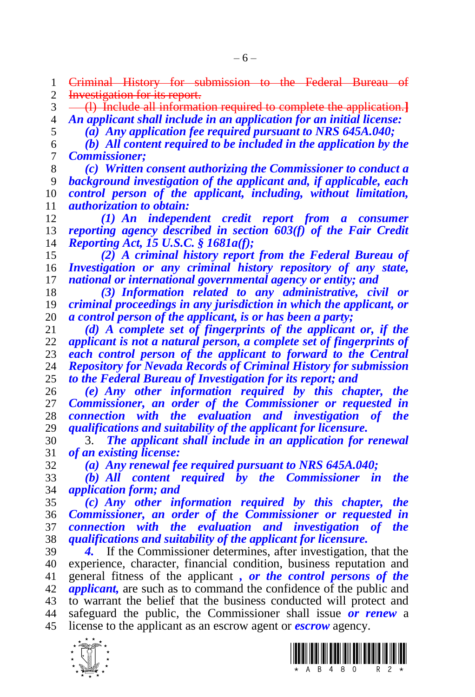1 <del>Criminal History for submission to the Federal Bureau of</del><br>2 <del>Investigation-for-its-report.</del> Investigation for its report.

 (l) Include all information required to complete the application.**]** *An applicant shall include in an application for an initial license:*

*(a) Any application fee required pursuant to NRS 645A.040;*

 *(b) All content required to be included in the application by the Commissioner;*

 *(c) Written consent authorizing the Commissioner to conduct a background investigation of the applicant and, if applicable, each control person of the applicant, including, without limitation, authorization to obtain:*

 *(1) An independent credit report from a consumer reporting agency described in section 603(f) of the Fair Credit Reporting Act, 15 U.S.C. § 1681a(f);*

 *(2) A criminal history report from the Federal Bureau of Investigation or any criminal history repository of any state, national or international governmental agency or entity; and*

 *(3) Information related to any administrative, civil or criminal proceedings in any jurisdiction in which the applicant, or a control person of the applicant, is or has been a party;*

 *(d) A complete set of fingerprints of the applicant or, if the applicant is not a natural person, a complete set of fingerprints of each control person of the applicant to forward to the Central Repository for Nevada Records of Criminal History for submission to the Federal Bureau of Investigation for its report; and*

 *(e) Any other information required by this chapter, the Commissioner, an order of the Commissioner or requested in connection with the evaluation and investigation of the qualifications and suitability of the applicant for licensure.*

 3. *The applicant shall include in an application for renewal of an existing license:*

*(a) Any renewal fee required pursuant to NRS 645A.040;*

 *(b) All content required by the Commissioner in the application form; and*

 *(c) Any other information required by this chapter, the Commissioner, an order of the Commissioner or requested in connection with the evaluation and investigation of the qualifications and suitability of the applicant for licensure.*

 *4.* If the Commissioner determines, after investigation, that the experience, character, financial condition, business reputation and general fitness of the applicant *, or the control persons of the applicant,* are such as to command the confidence of the public and to warrant the belief that the business conducted will protect and safeguard the public, the Commissioner shall issue *or renew* a license to the applicant as an escrow agent or *escrow* agency.



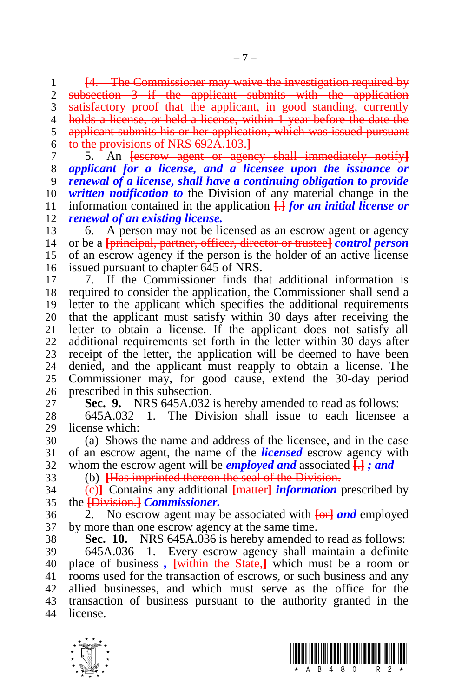**[**4. The Commissioner may waive the investigation required by subsection 3 if the applicant submits with the application 3 satisfactory proof that the applicant, in good standing, currently holds a license, or held a license, within 1 year before the date the applicant submits his or her application, which was issued pursuant to the provisions of NRS 692A.103.**]**

 5. An **[**escrow agent or agency shall immediately notify**]** *applicant for a license, and a licensee upon the issuance or renewal of a license, shall have a continuing obligation to provide written notification to* the Division of any material change in the information contained in the application **[**.**]** *for an initial license or renewal of an existing license.*

 6. A person may not be licensed as an escrow agent or agency or be a **[**principal, partner, officer, director or trustee**]** *control person* of an escrow agency if the person is the holder of an active license issued pursuant to chapter 645 of NRS.

 7. If the Commissioner finds that additional information is required to consider the application, the Commissioner shall send a letter to the applicant which specifies the additional requirements 20 that the applicant must satisfy within 30 days after receiving the 21 letter to obtain a license. If the applicant does not satisfy all letter to obtain a license. If the applicant does not satisfy all additional requirements set forth in the letter within 30 days after 23 receipt of the letter, the application will be deemed to have been<br>24 denied, and the applicant must reapply to obtain a license. The denied, and the applicant must reapply to obtain a license. The Commissioner may, for good cause, extend the 30-day period prescribed in this subsection.

**Sec. 9.** NRS 645A.032 is hereby amended to read as follows:

 645A.032 1. The Division shall issue to each licensee a license which:

 (a) Shows the name and address of the licensee, and in the case of an escrow agent, the name of the *licensed* escrow agency with whom the escrow agent will be *employed and* associated **[**.**]** *; and*

(b) **[**Has imprinted thereon the seal of the Division.

 (c)**]** Contains any additional **[**matter**]** *information* prescribed by the **[**Division.**]** *Commissioner.*

 2. No escrow agent may be associated with **[**or**]** *and* employed by more than one escrow agency at the same time.

**Sec. 10.** NRS 645A.036 is hereby amended to read as follows:

 645A.036 1. Every escrow agency shall maintain a definite place of business *,* **[**within the State,**]** which must be a room or rooms used for the transaction of escrows, or such business and any allied businesses, and which must serve as the office for the transaction of business pursuant to the authority granted in the license.



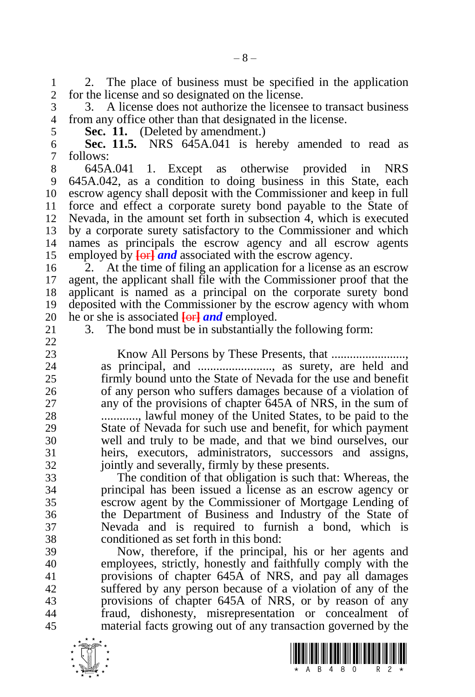1 2. The place of business must be specified in the application 2 for the license and so designated on the license. for the license and so designated on the license.

 3. A license does not authorize the licensee to transact business from any office other than that designated in the license.

**Sec. 11.** (Deleted by amendment.)

 **Sec. 11.5.** NRS 645A.041 is hereby amended to read as 7 follows:<br>8 645A.041

 645A.041 1. Except as otherwise provided in NRS 645A.042, as a condition to doing business in this State, each escrow agency shall deposit with the Commissioner and keep in full force and effect a corporate surety bond payable to the State of Nevada, in the amount set forth in subsection 4, which is executed by a corporate surety satisfactory to the Commissioner and which names as principals the escrow agency and all escrow agents employed by **[**or**]** *and* associated with the escrow agency.

 2. At the time of filing an application for a license as an escrow agent, the applicant shall file with the Commissioner proof that the applicant is named as a principal on the corporate surety bond deposited with the Commissioner by the escrow agency with whom 20 he or she is associated  $\frac{1}{\pi}$  *and* employed.<br>21 3. The bond must be in substantially t

3. The bond must be in substantially the following form:

 Know All Persons by These Presents, that ........................, as principal, and ........................, as surety, are held and firmly bound unto the State of Nevada for the use and benefit of any person who suffers damages because of a violation of any of the provisions of chapter 645A of NRS, in the sum of ............, lawful money of the United States, to be paid to the State of Nevada for such use and benefit, for which payment well and truly to be made, and that we bind ourselves, our heirs, executors, administrators, successors and assigns, jointly and severally, firmly by these presents.

 The condition of that obligation is such that: Whereas, the principal has been issued a license as an escrow agency or escrow agent by the Commissioner of Mortgage Lending of the Department of Business and Industry of the State of Nevada and is required to furnish a bond, which is conditioned as set forth in this bond:

 Now, therefore, if the principal, his or her agents and employees, strictly, honestly and faithfully comply with the provisions of chapter 645A of NRS, and pay all damages suffered by any person because of a violation of any of the provisions of chapter 645A of NRS, or by reason of any fraud, dishonesty, misrepresentation or concealment of material facts growing out of any transaction governed by the

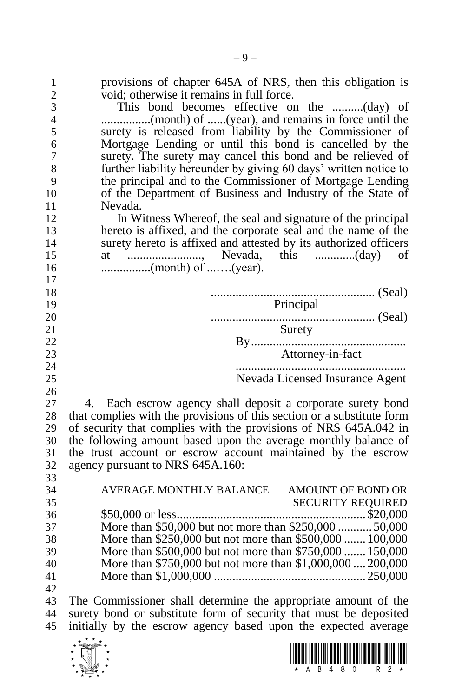| 1<br>$\overline{c}$<br>3<br>$\overline{4}$<br>5<br>6<br>7<br>8<br>9<br>10 | provisions of chapter 645A of NRS, then this obligation is<br>void; otherwise it remains in full force.<br>This bond becomes effective on the (day) of<br>surety is released from liability by the Commissioner of<br>Mortgage Lending or until this bond is cancelled by the<br>surety. The surety may cancel this bond and be relieved of<br>further liability hereunder by giving 60 days' written notice to<br>the principal and to the Commissioner of Mortgage Lending<br>of the Department of Business and Industry of the State of |
|---------------------------------------------------------------------------|--------------------------------------------------------------------------------------------------------------------------------------------------------------------------------------------------------------------------------------------------------------------------------------------------------------------------------------------------------------------------------------------------------------------------------------------------------------------------------------------------------------------------------------------|
| 11                                                                        | Nevada.                                                                                                                                                                                                                                                                                                                                                                                                                                                                                                                                    |
| 12                                                                        | In Witness Whereof, the seal and signature of the principal                                                                                                                                                                                                                                                                                                                                                                                                                                                                                |
| 13                                                                        | hereto is affixed, and the corporate seal and the name of the                                                                                                                                                                                                                                                                                                                                                                                                                                                                              |
| 14                                                                        | surety hereto is affixed and attested by its authorized officers                                                                                                                                                                                                                                                                                                                                                                                                                                                                           |
| 15                                                                        | οf                                                                                                                                                                                                                                                                                                                                                                                                                                                                                                                                         |
| 16                                                                        |                                                                                                                                                                                                                                                                                                                                                                                                                                                                                                                                            |
| 17                                                                        |                                                                                                                                                                                                                                                                                                                                                                                                                                                                                                                                            |
| 18                                                                        |                                                                                                                                                                                                                                                                                                                                                                                                                                                                                                                                            |
| 19                                                                        | Principal                                                                                                                                                                                                                                                                                                                                                                                                                                                                                                                                  |
| 20                                                                        |                                                                                                                                                                                                                                                                                                                                                                                                                                                                                                                                            |
| 21                                                                        | Surety                                                                                                                                                                                                                                                                                                                                                                                                                                                                                                                                     |
| 22                                                                        |                                                                                                                                                                                                                                                                                                                                                                                                                                                                                                                                            |
| 23                                                                        |                                                                                                                                                                                                                                                                                                                                                                                                                                                                                                                                            |
| 24                                                                        |                                                                                                                                                                                                                                                                                                                                                                                                                                                                                                                                            |
| 25                                                                        | Nevada Licensed Insurance Agent                                                                                                                                                                                                                                                                                                                                                                                                                                                                                                            |
| 26                                                                        |                                                                                                                                                                                                                                                                                                                                                                                                                                                                                                                                            |
| 27                                                                        | Each escrow agency shall deposit a corporate surety bond<br>4.                                                                                                                                                                                                                                                                                                                                                                                                                                                                             |
| 28                                                                        | that complies with the provisions of this section or a substitute form                                                                                                                                                                                                                                                                                                                                                                                                                                                                     |
| 29                                                                        | of security that complies with the provisions of NRS 645A.042 in                                                                                                                                                                                                                                                                                                                                                                                                                                                                           |
| 30                                                                        | the following amount based upon the average monthly balance of                                                                                                                                                                                                                                                                                                                                                                                                                                                                             |
| 31                                                                        | the trust account or escrow account maintained by the escrow                                                                                                                                                                                                                                                                                                                                                                                                                                                                               |
| 32                                                                        | agency pursuant to NRS 645A.160:                                                                                                                                                                                                                                                                                                                                                                                                                                                                                                           |
| 33                                                                        |                                                                                                                                                                                                                                                                                                                                                                                                                                                                                                                                            |
| 34                                                                        | AVERAGE MONTHLY BALANCE AMOUNT OF BOND OR                                                                                                                                                                                                                                                                                                                                                                                                                                                                                                  |
| 35                                                                        |                                                                                                                                                                                                                                                                                                                                                                                                                                                                                                                                            |
| 36                                                                        |                                                                                                                                                                                                                                                                                                                                                                                                                                                                                                                                            |
| 37                                                                        | More than \$50,000 but not more than \$250,000  50,000                                                                                                                                                                                                                                                                                                                                                                                                                                                                                     |
| 38                                                                        | More than \$250,000 but not more than \$500,000  100,000                                                                                                                                                                                                                                                                                                                                                                                                                                                                                   |
| 39                                                                        | More than \$500,000 but not more than \$750,000  150,000                                                                                                                                                                                                                                                                                                                                                                                                                                                                                   |
| 40                                                                        | More than \$750,000 but not more than \$1,000,000  200,000                                                                                                                                                                                                                                                                                                                                                                                                                                                                                 |
| 41                                                                        |                                                                                                                                                                                                                                                                                                                                                                                                                                                                                                                                            |
| 42                                                                        |                                                                                                                                                                                                                                                                                                                                                                                                                                                                                                                                            |
| 43                                                                        | The Commissioner shall determine the appropriate amount of the                                                                                                                                                                                                                                                                                                                                                                                                                                                                             |
| 44                                                                        | surety bond or substitute form of security that must be deposited                                                                                                                                                                                                                                                                                                                                                                                                                                                                          |
| 45                                                                        | initially by the escrow agency based upon the expected average                                                                                                                                                                                                                                                                                                                                                                                                                                                                             |



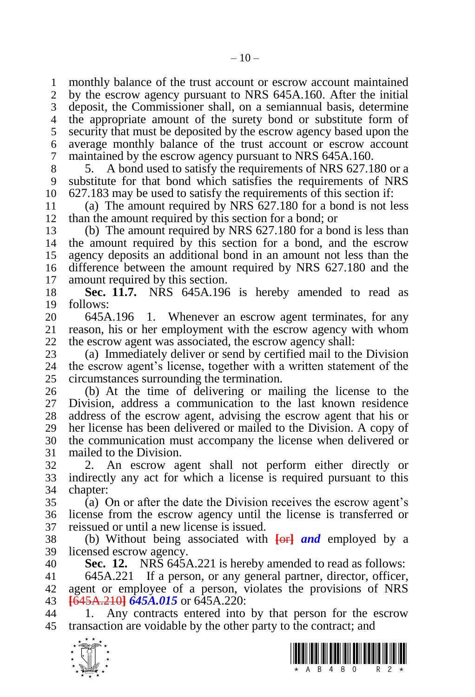monthly balance of the trust account or escrow account maintained by the escrow agency pursuant to NRS 645A.160. After the initial deposit, the Commissioner shall, on a semiannual basis, determine the appropriate amount of the surety bond or substitute form of security that must be deposited by the escrow agency based upon the average monthly balance of the trust account or escrow account maintained by the escrow agency pursuant to NRS 645A.160.

 5. A bond used to satisfy the requirements of NRS 627.180 or a substitute for that bond which satisfies the requirements of NRS 627.183 may be used to satisfy the requirements of this section if:

 (a) The amount required by NRS 627.180 for a bond is not less than the amount required by this section for a bond; or

 (b) The amount required by NRS 627.180 for a bond is less than the amount required by this section for a bond, and the escrow agency deposits an additional bond in an amount not less than the difference between the amount required by NRS 627.180 and the amount required by this section.

 **Sec. 11.7.** NRS 645A.196 is hereby amended to read as follows:

20 645A.196 1. Whenever an escrow agent terminates, for any 21 reason, his or her employment with the escrow agency with whom reason, his or her employment with the escrow agency with whom the escrow agent was associated, the escrow agency shall:

23 (a) Immediately deliver or send by certified mail to the Division 24 the escrow agent's license, together with a written statement of the the escrow agent's license, together with a written statement of the circumstances surrounding the termination.

 (b) At the time of delivering or mailing the license to the Division, address a communication to the last known residence address of the escrow agent, advising the escrow agent that his or her license has been delivered or mailed to the Division. A copy of the communication must accompany the license when delivered or mailed to the Division.

 2. An escrow agent shall not perform either directly or indirectly any act for which a license is required pursuant to this chapter:

 (a) On or after the date the Division receives the escrow agent's license from the escrow agency until the license is transferred or reissued or until a new license is issued.

 (b) Without being associated with **[**or**]** *and* employed by a licensed escrow agency.

**Sec. 12.** NRS 645A.221 is hereby amended to read as follows:

 645A.221 If a person, or any general partner, director, officer, agent or employee of a person, violates the provisions of NRS **[**645A.210**]** *645A.015* or 645A.220:

 1. Any contracts entered into by that person for the escrow transaction are voidable by the other party to the contract; and



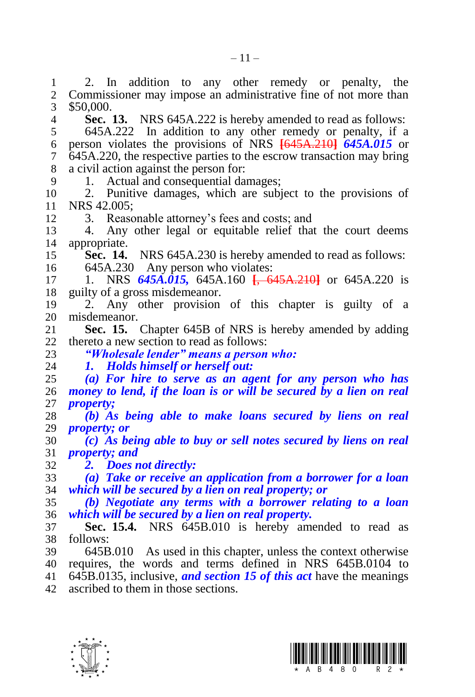1 2. In addition to any other remedy or penalty, the 2 Commissioner may impose an administrative fine of not more than Commissioner may impose an administrative fine of not more than \$50,000. **Sec. 13.** NRS 645A.222 is hereby amended to read as follows:

 645A.222 In addition to any other remedy or penalty, if a person violates the provisions of NRS **[**645A.210**]** *645A.015* or 645A.220, the respective parties to the escrow transaction may bring a civil action against the person for:

1. Actual and consequential damages;

 2. Punitive damages, which are subject to the provisions of 11 NRS 42.005;<br>12 3 Reaso

3. Reasonable attorney's fees and costs; and

 4. Any other legal or equitable relief that the court deems appropriate.

 **Sec. 14.** NRS 645A.230 is hereby amended to read as follows: 645A.230 Any person who violates:

 1. NRS *645A.015,* 645A.160 **[**, 645A.210**]** or 645A.220 is guilty of a gross misdemeanor.

 2. Any other provision of this chapter is guilty of a 20 misdemeanor.<br>21 **Sec. 15.** 

**Sec. 15.** Chapter 645B of NRS is hereby amended by adding thereto a new section to read as follows:

*"Wholesale lender" means a person who:*

*1. Holds himself or herself out:*

 *(a) For hire to serve as an agent for any person who has money to lend, if the loan is or will be secured by a lien on real property;*

 *(b) As being able to make loans secured by liens on real property; or*

 *(c) As being able to buy or sell notes secured by liens on real property; and*

*2. Does not directly:*

 *(a) Take or receive an application from a borrower for a loan which will be secured by a lien on real property; or*

 *(b) Negotiate any terms with a borrower relating to a loan which will be secured by a lien on real property.*

 **Sec. 15.4.** NRS 645B.010 is hereby amended to read as follows:

 645B.010 As used in this chapter, unless the context otherwise requires, the words and terms defined in NRS 645B.0104 to

645B.0135, inclusive, *and section 15 of this act* have the meanings

ascribed to them in those sections.



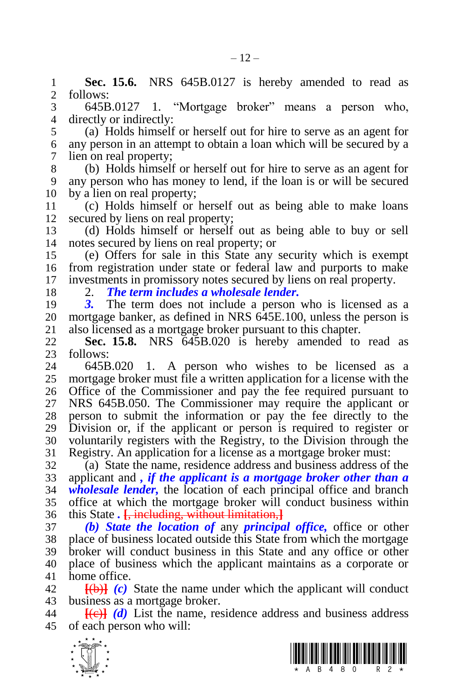**Sec. 15.6.** NRS 645B.0127 is hereby amended to read as 2 follows: follows:

 645B.0127 1. "Mortgage broker" means a person who, directly or indirectly:

 (a) Holds himself or herself out for hire to serve as an agent for any person in an attempt to obtain a loan which will be secured by a lien on real property;

 (b) Holds himself or herself out for hire to serve as an agent for any person who has money to lend, if the loan is or will be secured by a lien on real property;

 (c) Holds himself or herself out as being able to make loans secured by liens on real property;

 (d) Holds himself or herself out as being able to buy or sell notes secured by liens on real property; or

 (e) Offers for sale in this State any security which is exempt from registration under state or federal law and purports to make investments in promissory notes secured by liens on real property.

2. *The term includes a wholesale lender.*

 *3.* The term does not include a person who is licensed as a 20 mortgage banker, as defined in NRS 645E.100, unless the person is also licensed as a mortgage broker pursuant to this chapter. also licensed as a mortgage broker pursuant to this chapter.

 **Sec. 15.8.** NRS 645B.020 is hereby amended to read as 23 follows:<br>24 645B

 645B.020 1. A person who wishes to be licensed as a mortgage broker must file a written application for a license with the Office of the Commissioner and pay the fee required pursuant to NRS 645B.050. The Commissioner may require the applicant or person to submit the information or pay the fee directly to the Division or, if the applicant or person is required to register or voluntarily registers with the Registry, to the Division through the Registry. An application for a license as a mortgage broker must:

 (a) State the name, residence address and business address of the applicant and *, if the applicant is a mortgage broker other than a wholesale lender,* the location of each principal office and branch office at which the mortgage broker will conduct business within this State *.* **[**, including, without limitation,**]**

 *(b) State the location of* any *principal office,* office or other place of business located outside this State from which the mortgage broker will conduct business in this State and any office or other place of business which the applicant maintains as a corporate or home office.

 **[**(b)**]** *(c)* State the name under which the applicant will conduct business as a mortgage broker.

 **[**(c)**]** *(d)* List the name, residence address and business address of each person who will:



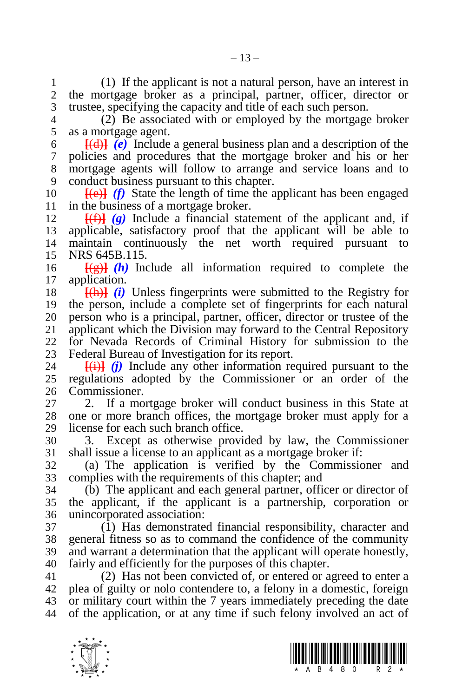(1) If the applicant is not a natural person, have an interest in the mortgage broker as a principal, partner, officer, director or trustee, specifying the capacity and title of each such person.

 $\overline{2}$  Be associated with or employed by the mortgage broker as a mortgage agent.

 **[**(d)**]** *(e)* Include a general business plan and a description of the policies and procedures that the mortgage broker and his or her mortgage agents will follow to arrange and service loans and to conduct business pursuant to this chapter.

10  $[\text{Fe}]$  *(f)* State the length of time the applicant has been engaged in the business of a mortgage broker.

 $[\frac{f(f)}{f}](g)$  Include a financial statement of the applicant and, if applicable, satisfactory proof that the applicant will be able to maintain continuously the net worth required pursuant to NRS 645B.115.

  $\frac{1}{2}$   $\frac{1}{2}$   $\frac{1}{2}$   $\frac{1}{2}$  Include all information required to complete the application.

 **[**(h)**]** *(i)* Unless fingerprints were submitted to the Registry for the person, include a complete set of fingerprints for each natural 20 person who is a principal, partner, officer, director or trustee of the 21 applicant which the Division may forward to the Central Repository applicant which the Division may forward to the Central Repository for Nevada Records of Criminal History for submission to the 23 Federal Bureau of Investigation for its report.<br>24  $\frac{[H]}{[H]}$  (i) Include any other information re

 $\overline{f(i)}$  *(i)* Include any other information required pursuant to the regulations adopted by the Commissioner or an order of the Commissioner.

 2. If a mortgage broker will conduct business in this State at one or more branch offices, the mortgage broker must apply for a license for each such branch office.

 3. Except as otherwise provided by law, the Commissioner shall issue a license to an applicant as a mortgage broker if:

 (a) The application is verified by the Commissioner and complies with the requirements of this chapter; and

 (b) The applicant and each general partner, officer or director of the applicant, if the applicant is a partnership, corporation or unincorporated association:

 (1) Has demonstrated financial responsibility, character and general fitness so as to command the confidence of the community and warrant a determination that the applicant will operate honestly, fairly and efficiently for the purposes of this chapter.

 (2) Has not been convicted of, or entered or agreed to enter a plea of guilty or nolo contendere to, a felony in a domestic, foreign or military court within the 7 years immediately preceding the date of the application, or at any time if such felony involved an act of

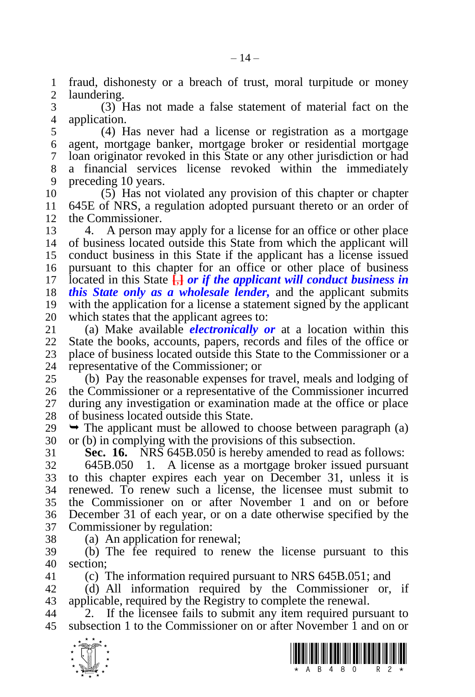fraud, dishonesty or a breach of trust, moral turpitude or money laundering.

 (3) Has not made a false statement of material fact on the application.

 (4) Has never had a license or registration as a mortgage agent, mortgage banker, mortgage broker or residential mortgage loan originator revoked in this State or any other jurisdiction or had a financial services license revoked within the immediately preceding 10 years.

 (5) Has not violated any provision of this chapter or chapter 645E of NRS, a regulation adopted pursuant thereto or an order of the Commissioner.

 4. A person may apply for a license for an office or other place of business located outside this State from which the applicant will conduct business in this State if the applicant has a license issued pursuant to this chapter for an office or other place of business located in this State **[**,**]** *or if the applicant will conduct business in this State only as a wholesale lender,* and the applicant submits with the application for a license a statement signed by the applicant 20 which states that the applicant agrees to:<br>21 (a) Make available *electronically o* 

 (a) Make available *electronically or* at a location within this State the books, accounts, papers, records and files of the office or 23 place of business located outside this State to the Commissioner or a<br>24 representative of the Commissioner: or representative of the Commissioner; or

 (b) Pay the reasonable expenses for travel, meals and lodging of the Commissioner or a representative of the Commissioner incurred during any investigation or examination made at the office or place of business located outside this State.

 $29 \rightarrow$  The applicant must be allowed to choose between paragraph (a) or (b) in complying with the provisions of this subsection.

**Sec. 16.** NRS 645B.050 is hereby amended to read as follows:

 645B.050 1. A license as a mortgage broker issued pursuant to this chapter expires each year on December 31, unless it is renewed. To renew such a license, the licensee must submit to the Commissioner on or after November 1 and on or before December 31 of each year, or on a date otherwise specified by the Commissioner by regulation:

(a) An application for renewal;

 (b) The fee required to renew the license pursuant to this section;

(c) The information required pursuant to NRS 645B.051; and

 (d) All information required by the Commissioner or, if applicable, required by the Registry to complete the renewal.

 2. If the licensee fails to submit any item required pursuant to subsection 1 to the Commissioner on or after November 1 and on or



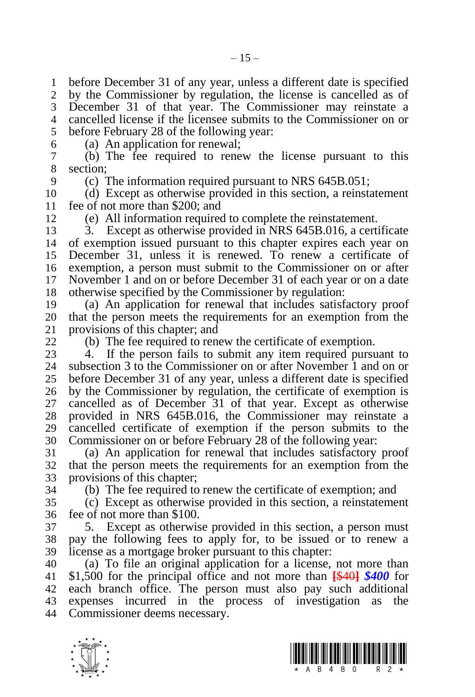before December 31 of any year, unless a different date is specified by the Commissioner by regulation, the license is cancelled as of December 31 of that year. The Commissioner may reinstate a cancelled license if the licensee submits to the Commissioner on or before February 28 of the following year:

(a) An application for renewal;

 (b) The fee required to renew the license pursuant to this section;

(c) The information required pursuant to NRS 645B.051;

 (d) Except as otherwise provided in this section, a reinstatement fee of not more than \$200; and

(e) All information required to complete the reinstatement.

 3. Except as otherwise provided in NRS 645B.016, a certificate of exemption issued pursuant to this chapter expires each year on December 31, unless it is renewed. To renew a certificate of exemption, a person must submit to the Commissioner on or after November 1 and on or before December 31 of each year or on a date otherwise specified by the Commissioner by regulation:

 (a) An application for renewal that includes satisfactory proof 20 that the person meets the requirements for an exemption from the provisions of this chapter: and provisions of this chapter; and

(b) The fee required to renew the certificate of exemption.

23 4. If the person fails to submit any item required pursuant to 24 subsection 3 to the Commissioner on or after November 1 and on or subsection 3 to the Commissioner on or after November  $\overline{1}$  and on or before December 31 of any year, unless a different date is specified by the Commissioner by regulation, the certificate of exemption is cancelled as of December 31 of that year. Except as otherwise provided in NRS 645B.016, the Commissioner may reinstate a cancelled certificate of exemption if the person submits to the Commissioner on or before February 28 of the following year:

 (a) An application for renewal that includes satisfactory proof that the person meets the requirements for an exemption from the provisions of this chapter;

(b) The fee required to renew the certificate of exemption; and

 (c) Except as otherwise provided in this section, a reinstatement fee of not more than \$100.

 5. Except as otherwise provided in this section, a person must pay the following fees to apply for, to be issued or to renew a license as a mortgage broker pursuant to this chapter:

 (a) To file an original application for a license, not more than \$1,500 for the principal office and not more than **[**\$40**]** *\$400* for each branch office. The person must also pay such additional expenses incurred in the process of investigation as the Commissioner deems necessary.



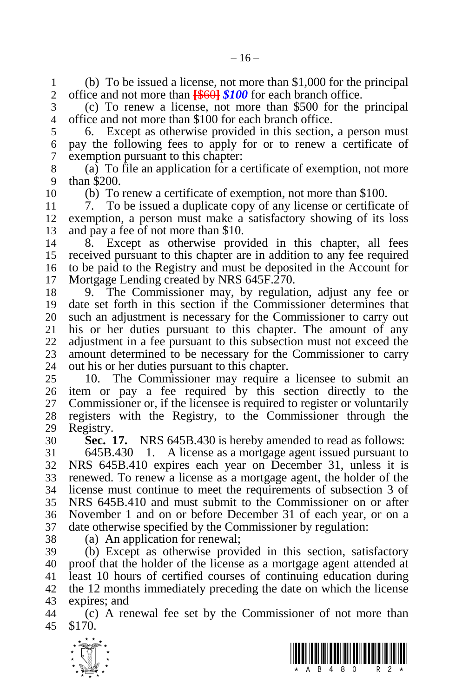1 (b) To be issued a license, not more than \$1,000 for the principal  $\frac{2}{100}$  office and not more than  $\frac{26601 \times 100}{100}$  for each branch office. office and not more than **[**\$60**]** *\$100* for each branch office.

 (c) To renew a license, not more than \$500 for the principal office and not more than \$100 for each branch office.

 6. Except as otherwise provided in this section, a person must pay the following fees to apply for or to renew a certificate of exemption pursuant to this chapter:

 (a) To file an application for a certificate of exemption, not more than \$200.

(b) To renew a certificate of exemption, not more than \$100.

 7. To be issued a duplicate copy of any license or certificate of exemption, a person must make a satisfactory showing of its loss and pay a fee of not more than \$10.

 8. Except as otherwise provided in this chapter, all fees received pursuant to this chapter are in addition to any fee required to be paid to the Registry and must be deposited in the Account for Mortgage Lending created by NRS 645F.270.

 9. The Commissioner may, by regulation, adjust any fee or date set forth in this section if the Commissioner determines that 20 such an adjustment is necessary for the Commissioner to carry out 21 his or her duties pursuant to this chapter. The amount of any his or her duties pursuant to this chapter. The amount of any adjustment in a fee pursuant to this subsection must not exceed the 23 amount determined to be necessary for the Commissioner to carry<br>24 out his or her duties pursuant to this chapter. out his or her duties pursuant to this chapter.

 10. The Commissioner may require a licensee to submit an item or pay a fee required by this section directly to the Commissioner or, if the licensee is required to register or voluntarily registers with the Registry, to the Commissioner through the Registry.

**Sec. 17.** NRS 645B.430 is hereby amended to read as follows:

 645B.430 1. A license as a mortgage agent issued pursuant to NRS 645B.410 expires each year on December 31, unless it is renewed. To renew a license as a mortgage agent, the holder of the license must continue to meet the requirements of subsection 3 of NRS 645B.410 and must submit to the Commissioner on or after November 1 and on or before December 31 of each year, or on a date otherwise specified by the Commissioner by regulation:

(a) An application for renewal;

 (b) Except as otherwise provided in this section, satisfactory proof that the holder of the license as a mortgage agent attended at least 10 hours of certified courses of continuing education during the 12 months immediately preceding the date on which the license expires; and

 (c) A renewal fee set by the Commissioner of not more than \$170.



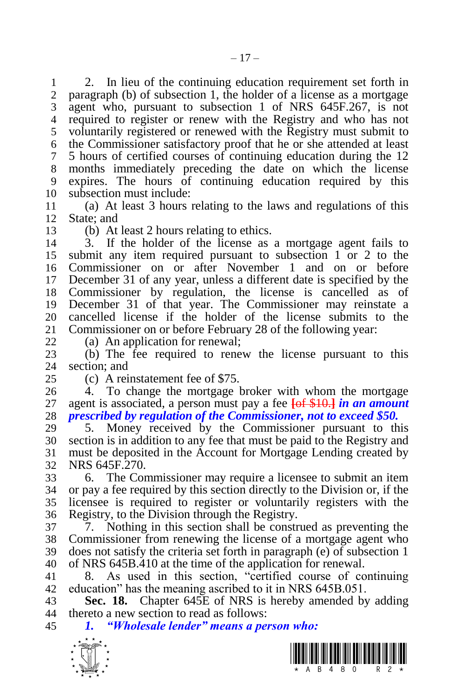2. In lieu of the continuing education requirement set forth in 2 naragraph (b) of subsection 1, the holder of a license as a mortgage paragraph (b) of subsection 1, the holder of a license as a mortgage agent who, pursuant to subsection 1 of NRS 645F.267, is not required to register or renew with the Registry and who has not voluntarily registered or renewed with the Registry must submit to the Commissioner satisfactory proof that he or she attended at least 5 hours of certified courses of continuing education during the 12 months immediately preceding the date on which the license expires. The hours of continuing education required by this subsection must include:

 (a) At least 3 hours relating to the laws and regulations of this State; and

(b) At least 2 hours relating to ethics.

 3. If the holder of the license as a mortgage agent fails to submit any item required pursuant to subsection 1 or 2 to the Commissioner on or after November 1 and on or before December 31 of any year, unless a different date is specified by the Commissioner by regulation, the license is cancelled as of December 31 of that year. The Commissioner may reinstate a 20 cancelled license if the holder of the license submits to the 21 Commissioner on or before February 28 of the following year: Commissioner on or before February 28 of the following year:

(a) An application for renewal;

 (b) The fee required to renew the license pursuant to this section; and

(c) A reinstatement fee of \$75.

 4. To change the mortgage broker with whom the mortgage agent is associated, a person must pay a fee **[**of \$10.**]** *in an amount prescribed by regulation of the Commissioner, not to exceed \$50.*

 5. Money received by the Commissioner pursuant to this section is in addition to any fee that must be paid to the Registry and must be deposited in the Account for Mortgage Lending created by NRS 645F.270.

 6. The Commissioner may require a licensee to submit an item or pay a fee required by this section directly to the Division or, if the licensee is required to register or voluntarily registers with the Registry, to the Division through the Registry.

 7. Nothing in this section shall be construed as preventing the Commissioner from renewing the license of a mortgage agent who does not satisfy the criteria set forth in paragraph (e) of subsection 1 of NRS 645B.410 at the time of the application for renewal.

 8. As used in this section, "certified course of continuing education" has the meaning ascribed to it in NRS 645B.051.

 **Sec. 18.** Chapter 645E of NRS is hereby amended by adding thereto a new section to read as follows:

*1. "Wholesale lender" means a person who:*

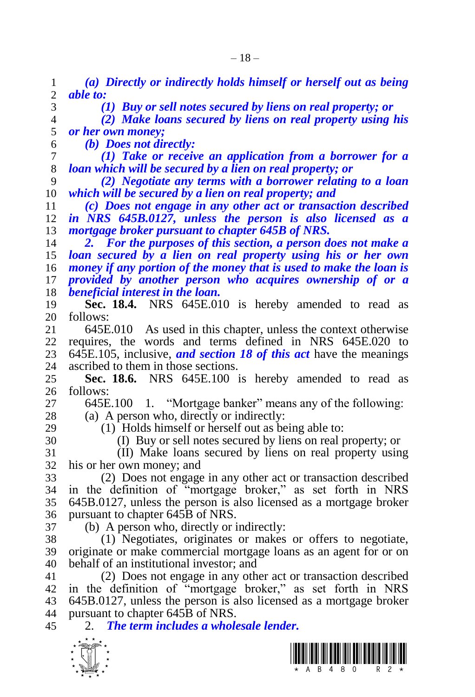| 1              | (a) Directly or indirectly holds himself or herself out as being         |  |  |  |  |  |
|----------------|--------------------------------------------------------------------------|--|--|--|--|--|
| $\overline{c}$ | able to:                                                                 |  |  |  |  |  |
| 3              | (1) Buy or sell notes secured by liens on real property; or              |  |  |  |  |  |
| $\overline{4}$ | (2) Make loans secured by liens on real property using his               |  |  |  |  |  |
| 5              | or her own money;                                                        |  |  |  |  |  |
| 6              | (b) Does not directly:                                                   |  |  |  |  |  |
| 7              | (1) Take or receive an application from a borrower for a                 |  |  |  |  |  |
| 8              | loan which will be secured by a lien on real property; or                |  |  |  |  |  |
| 9              | (2) Negotiate any terms with a borrower relating to a loan               |  |  |  |  |  |
| 10             | which will be secured by a lien on real property; and                    |  |  |  |  |  |
| 11             | (c) Does not engage in any other act or transaction described            |  |  |  |  |  |
| 12             | in NRS 645B.0127, unless the person is also licensed as a                |  |  |  |  |  |
| 13             | mortgage broker pursuant to chapter 645B of NRS.                         |  |  |  |  |  |
| 14             | For the purposes of this section, a person does not make a<br>2.         |  |  |  |  |  |
| 15             | loan secured by a lien on real property using his or her own             |  |  |  |  |  |
| 16             | money if any portion of the money that is used to make the loan is       |  |  |  |  |  |
| 17             | provided by another person who acquires ownership of or a                |  |  |  |  |  |
| 18             | beneficial interest in the loan.                                         |  |  |  |  |  |
| 19             | Sec. 18.4. NRS 645E.010 is hereby amended to read as                     |  |  |  |  |  |
| 20             | follows:                                                                 |  |  |  |  |  |
| 21             | 645E.010 As used in this chapter, unless the context otherwise           |  |  |  |  |  |
| 22             | requires, the words and terms defined in NRS 645E.020<br>to              |  |  |  |  |  |
| 23             | 645E.105, inclusive, <i>and section 18 of this act</i> have the meanings |  |  |  |  |  |
| 24             | ascribed to them in those sections.                                      |  |  |  |  |  |
| 25             | Sec. 18.6. NRS 645E.100 is hereby amended to read as                     |  |  |  |  |  |
| 26             | follows:                                                                 |  |  |  |  |  |
| 27             | 1. "Mortgage banker" means any of the following:<br>645E.100             |  |  |  |  |  |
| 28             | (a) A person who, directly or indirectly:                                |  |  |  |  |  |
| 29             | (1) Holds himself or herself out as being able to:                       |  |  |  |  |  |
| 30             | (I) Buy or sell notes secured by liens on real property; or              |  |  |  |  |  |
| 31             | (II) Make loans secured by liens on real property using                  |  |  |  |  |  |
| 32             | his or her own money; and                                                |  |  |  |  |  |
| 33             | (2) Does not engage in any other act or transaction described            |  |  |  |  |  |
| 34             | in the definition of "mortgage broker," as set forth in NRS              |  |  |  |  |  |
| 35             | 645B.0127, unless the person is also licensed as a mortgage broker       |  |  |  |  |  |
| 36             | pursuant to chapter 645B of NRS.                                         |  |  |  |  |  |
| 37             | (b) A person who, directly or indirectly:                                |  |  |  |  |  |
| 38             | (1) Negotiates, originates or makes or offers to negotiate,              |  |  |  |  |  |
| 39             | originate or make commercial mortgage loans as an agent for or on        |  |  |  |  |  |
| 40             | behalf of an institutional investor; and                                 |  |  |  |  |  |
| 41             | (2) Does not engage in any other act or transaction described            |  |  |  |  |  |
| 42             | in the definition of "mortgage broker," as set forth in NRS              |  |  |  |  |  |
| 43             | 645B.0127, unless the person is also licensed as a mortgage broker       |  |  |  |  |  |
| 44             | pursuant to chapter 645B of NRS.                                         |  |  |  |  |  |
| 45             | 2. The term includes a wholesale lender.                                 |  |  |  |  |  |
|                | $\star$ $\star$                                                          |  |  |  |  |  |



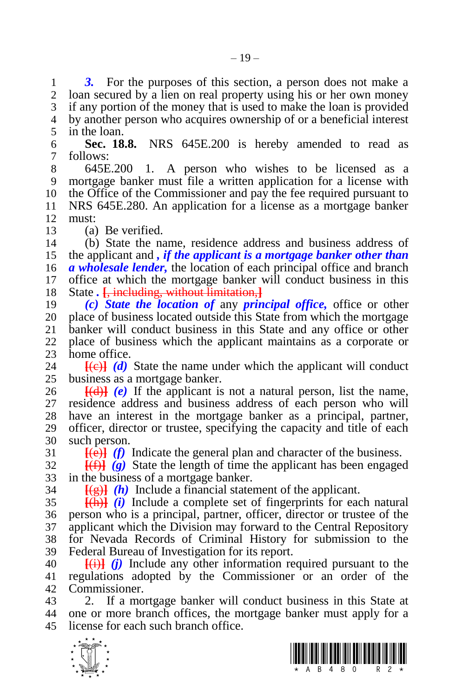**3.** For the purposes of this section, a person does not make a 2 loan secured by a lien on real property using his or her own money loan secured by a lien on real property using his or her own money if any portion of the money that is used to make the loan is provided by another person who acquires ownership of or a beneficial interest in the loan.

 **Sec. 18.8.** NRS 645E.200 is hereby amended to read as follows:

- 645E.200 1. A person who wishes to be licensed as a mortgage banker must file a written application for a license with the Office of the Commissioner and pay the fee required pursuant to NRS 645E.280. An application for a license as a mortgage banker must:
- (a) Be verified.

 (b) State the name, residence address and business address of the applicant and *, if the applicant is a mortgage banker other than a wholesale lender,* the location of each principal office and branch office at which the mortgage banker will conduct business in this State *.* **[**, including, without limitation,**]**

 *(c) State the location of* any *principal office,* office or other 20 place of business located outside this State from which the mortgage 21 banker will conduct business in this State and any office or other banker will conduct business in this State and any office or other place of business which the applicant maintains as a corporate or 23 home office.<br>24  $\overline{f(e)}$   $\overline{f(d)}$ 

 $[\text{Fe}]\text{d}$  State the name under which the applicant will conduct business as a mortgage banker.

 **[(d)]**  $(e)$  If the applicant is not a natural person, list the name, residence address and business address of each person who will have an interest in the mortgage banker as a principal, partner, officer, director or trustee, specifying the capacity and title of each such person.

 $\frac{[f(e)]}{[f]}$  *(f)* Indicate the general plan and character of the business.

 $\frac{f(f)}{g}$  State the length of time the applicant has been engaged in the business of a mortgage banker.

 $\frac{f(g)}{g(h)}$  *(h)* Include a financial statement of the applicant.

 **[**(h)**]** *(i)* Include a complete set of fingerprints for each natural person who is a principal, partner, officer, director or trustee of the applicant which the Division may forward to the Central Repository for Nevada Records of Criminal History for submission to the Federal Bureau of Investigation for its report.

 **[**(i)**]** *(j)* Include any other information required pursuant to the regulations adopted by the Commissioner or an order of the Commissioner.

 2. If a mortgage banker will conduct business in this State at one or more branch offices, the mortgage banker must apply for a license for each such branch office.



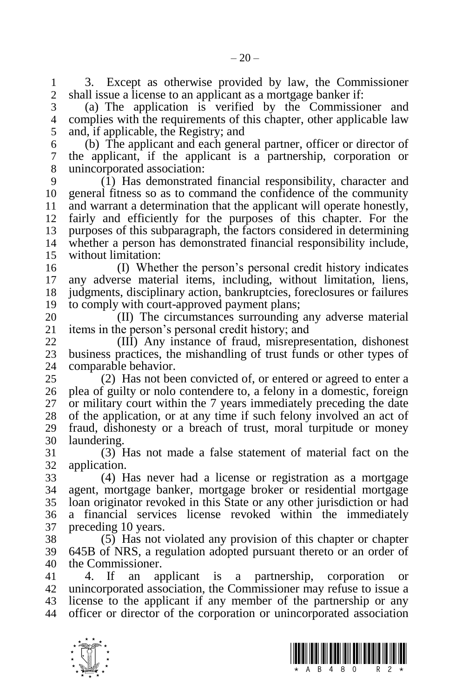1 3. Except as otherwise provided by law, the Commissioner 2 shall issue a license to an applicant as a mortgage banker if: shall issue a license to an applicant as a mortgage banker if:

 (a) The application is verified by the Commissioner and complies with the requirements of this chapter, other applicable law and, if applicable, the Registry; and

 (b) The applicant and each general partner, officer or director of the applicant, if the applicant is a partnership, corporation or unincorporated association:

 (1) Has demonstrated financial responsibility, character and general fitness so as to command the confidence of the community and warrant a determination that the applicant will operate honestly, fairly and efficiently for the purposes of this chapter. For the purposes of this subparagraph, the factors considered in determining whether a person has demonstrated financial responsibility include, without limitation:

 (I) Whether the person's personal credit history indicates any adverse material items, including, without limitation, liens, judgments, disciplinary action, bankruptcies, foreclosures or failures to comply with court-approved payment plans;

20 (II) The circumstances surrounding any adverse material 21 items in the person's personal credit history; and items in the person's personal credit history; and

 (III) Any instance of fraud, misrepresentation, dishonest 23 business practices, the mishandling of trust funds or other types of comparable behavior. comparable behavior.

 (2) Has not been convicted of, or entered or agreed to enter a plea of guilty or nolo contendere to, a felony in a domestic, foreign or military court within the 7 years immediately preceding the date of the application, or at any time if such felony involved an act of fraud, dishonesty or a breach of trust, moral turpitude or money laundering.

 (3) Has not made a false statement of material fact on the application.

 (4) Has never had a license or registration as a mortgage agent, mortgage banker, mortgage broker or residential mortgage loan originator revoked in this State or any other jurisdiction or had a financial services license revoked within the immediately preceding 10 years.

 (5) Has not violated any provision of this chapter or chapter 645B of NRS, a regulation adopted pursuant thereto or an order of the Commissioner.

 4. If an applicant is a partnership, corporation or unincorporated association, the Commissioner may refuse to issue a license to the applicant if any member of the partnership or any officer or director of the corporation or unincorporated association



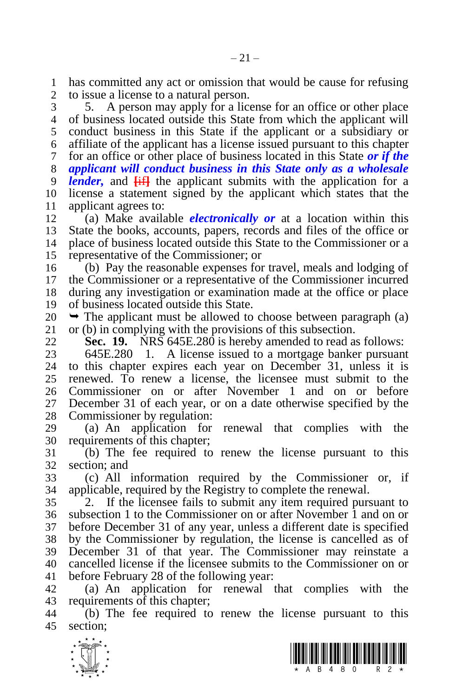has committed any act or omission that would be cause for refusing to issue a license to a natural person.

 5. A person may apply for a license for an office or other place of business located outside this State from which the applicant will conduct business in this State if the applicant or a subsidiary or affiliate of the applicant has a license issued pursuant to this chapter for an office or other place of business located in this State *or if the applicant will conduct business in this State only as a wholesale lender,* and **[**if**]** the applicant submits with the application for a license a statement signed by the applicant which states that the applicant agrees to:

 (a) Make available *electronically or* at a location within this State the books, accounts, papers, records and files of the office or place of business located outside this State to the Commissioner or a representative of the Commissioner; or

 (b) Pay the reasonable expenses for travel, meals and lodging of the Commissioner or a representative of the Commissioner incurred during any investigation or examination made at the office or place of business located outside this State.

 $20 \rightarrow$  The applicant must be allowed to choose between paragraph (a) or (b) in complying with the provisions of this subsection.

**Sec. 19.** NRS 645E.280 is hereby amended to read as follows:

23 645E.280 1. A license issued to a mortgage banker pursuant 24 to this chapter expires each year on December 31, unless it is to this chapter expires each year on December 31, unless it is renewed. To renew a license, the licensee must submit to the Commissioner on or after November 1 and on or before December 31 of each year, or on a date otherwise specified by the Commissioner by regulation:

 (a) An application for renewal that complies with the requirements of this chapter;

 (b) The fee required to renew the license pursuant to this section; and

 (c) All information required by the Commissioner or, if applicable, required by the Registry to complete the renewal.

 2. If the licensee fails to submit any item required pursuant to subsection 1 to the Commissioner on or after November 1 and on or before December 31 of any year, unless a different date is specified by the Commissioner by regulation, the license is cancelled as of December 31 of that year. The Commissioner may reinstate a 40 cancelled license if the licensee submits to the Commissioner on or 41 before February 28 of the following year: before February 28 of the following year:

 (a) An application for renewal that complies with the requirements of this chapter;

 (b) The fee required to renew the license pursuant to this section;



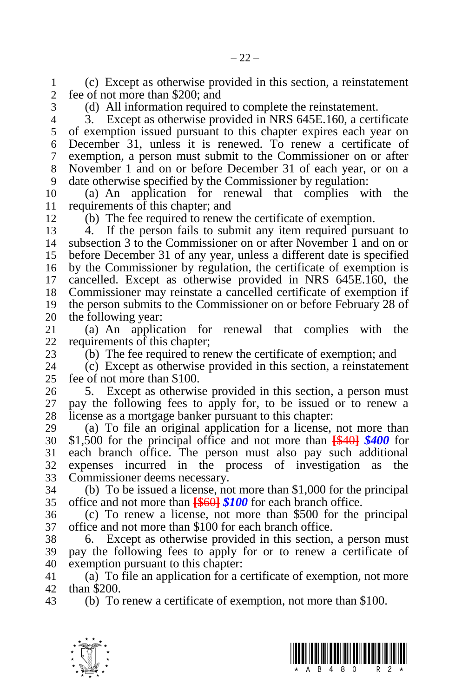(c) Except as otherwise provided in this section, a reinstatement fee of not more than \$200; and

(d) All information required to complete the reinstatement.

 3. Except as otherwise provided in NRS 645E.160, a certificate of exemption issued pursuant to this chapter expires each year on December 31, unless it is renewed. To renew a certificate of exemption, a person must submit to the Commissioner on or after November 1 and on or before December 31 of each year, or on a date otherwise specified by the Commissioner by regulation:

 (a) An application for renewal that complies with the requirements of this chapter; and

(b) The fee required to renew the certificate of exemption.

 4. If the person fails to submit any item required pursuant to subsection 3 to the Commissioner on or after November 1 and on or before December 31 of any year, unless a different date is specified by the Commissioner by regulation, the certificate of exemption is cancelled. Except as otherwise provided in NRS 645E.160, the Commissioner may reinstate a cancelled certificate of exemption if the person submits to the Commissioner on or before February 28 of 20 the following year:<br>21 (a) An applica

(a) An application for renewal that complies with the requirements of this chapter;

23 (b) The fee required to renew the certificate of exemption; and <br>24 (c) Except as otherwise provided in this section, a reinstateme (c) Except as otherwise provided in this section, a reinstatement fee of not more than \$100.

 5. Except as otherwise provided in this section, a person must pay the following fees to apply for, to be issued or to renew a license as a mortgage banker pursuant to this chapter:

 (a) To file an original application for a license, not more than \$1,500 for the principal office and not more than **[**\$40**]** *\$400* for each branch office. The person must also pay such additional expenses incurred in the process of investigation as the Commissioner deems necessary.

 (b) To be issued a license, not more than \$1,000 for the principal office and not more than **[**\$60**]** *\$100* for each branch office.

 (c) To renew a license, not more than \$500 for the principal office and not more than \$100 for each branch office.

 6. Except as otherwise provided in this section, a person must pay the following fees to apply for or to renew a certificate of exemption pursuant to this chapter:

 (a) To file an application for a certificate of exemption, not more than \$200.

(b) To renew a certificate of exemption, not more than \$100.



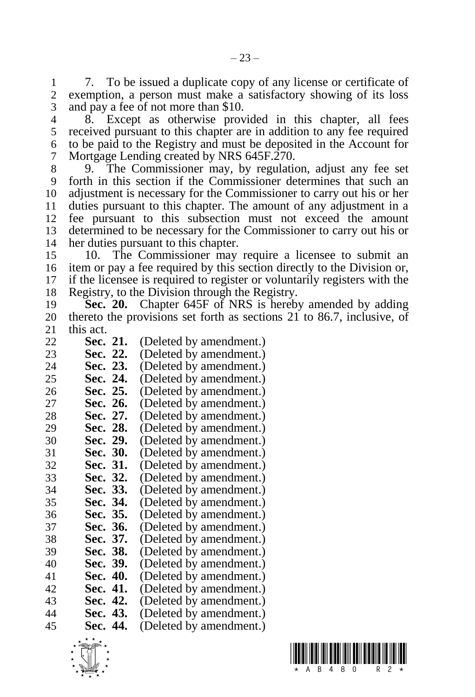7. To be issued a duplicate copy of any license or certificate of exemption, a person must make a satisfactory showing of its loss and pay a fee of not more than \$10.

 8. Except as otherwise provided in this chapter, all fees received pursuant to this chapter are in addition to any fee required to be paid to the Registry and must be deposited in the Account for Mortgage Lending created by NRS 645F.270.

 9. The Commissioner may, by regulation, adjust any fee set forth in this section if the Commissioner determines that such an adjustment is necessary for the Commissioner to carry out his or her duties pursuant to this chapter. The amount of any adjustment in a fee pursuant to this subsection must not exceed the amount determined to be necessary for the Commissioner to carry out his or her duties pursuant to this chapter.

 10. The Commissioner may require a licensee to submit an item or pay a fee required by this section directly to the Division or, if the licensee is required to register or voluntarily registers with the Registry, to the Division through the Registry.

 **Sec. 20.** Chapter 645F of NRS is hereby amended by adding thereto the provisions set forth as sections 21 to 86.7, inclusive, of this act.

- 22 **Sec. 21.** (Deleted by amendment.)<br>23 **Sec. 22.** (Deleted by amendment.)
- 23 **Sec. 22.** (Deleted by amendment.)<br>24 **Sec. 23.** (Deleted by amendment.)
- **Sec. 23.** (Deleted by amendment.)
- 25 **Sec. 24.** (Deleted by amendment.)<br>26 **Sec. 25.** (Deleted by amendment.)
- **Sec. 25.** (Deleted by amendment.) **Sec. 26.** (Deleted by amendment.)
- 
- 28 **Sec. 27.** (Deleted by amendment.)<br>29 **Sec. 28.** (Deleted by amendment.)
- 29 **Sec. 28.** (Deleted by amendment.)<br>30 **Sec. 29.** (Deleted by amendment.)
- **Sec. 29.** (Deleted by amendment.)
- **Sec. 30.** (Deleted by amendment.)
- **Sec. 31.** (Deleted by amendment.) **Sec. 32.** (Deleted by amendment.)
- **Sec. 33.** (Deleted by amendment.)
- **Sec. 34.** (Deleted by amendment.)
- **Sec. 35.** (Deleted by amendment.)
- **Sec. 36.** (Deleted by amendment.)
- **Sec. 37.** (Deleted by amendment.) **Sec. 38.** (Deleted by amendment.)
- 
- 40 **Sec. 39.** (Deleted by amendment.)<br>41 **Sec. 40.** (Deleted by amendment.) **Sec. 40.** (Deleted by amendment.)
- **Sec. 41.** (Deleted by amendment.)
- **Sec. 42.** (Deleted by amendment.)
- **Sec. 43.** (Deleted by amendment.)
- **Sec. 44.** (Deleted by amendment.)



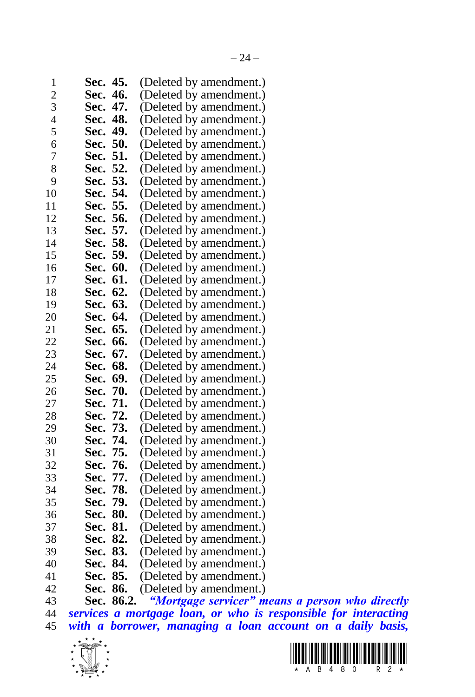| 1              | Sec. | 45.   | (Deleted by amendment.) |
|----------------|------|-------|-------------------------|
| $\overline{c}$ | Sec. | 46.   | (Deleted by amendment.) |
| 3              | Sec. | 47.   | (Deleted by amendment.) |
| 4              | Sec. | 48.   | (Deleted by amendment.) |
| 5              | Sec. | 49.   | (Deleted by amendment.) |
| 6              | Sec. | 50.   | (Deleted by amendment.) |
| 7              | Sec. | 51.   | (Deleted by amendment.) |
| 8              | Sec. | 52.   | (Deleted by amendment.) |
| 9              | Sec. | 53.   | (Deleted by amendment.) |
| 10             | Sec. | 54.   | (Deleted by amendment.) |
| 11             | Sec. | 55.   | (Deleted by amendment.) |
| 12             | Sec. | 56.   | (Deleted by amendment.) |
| 13             | Sec. | 57.   | (Deleted by amendment.) |
| 14             | Sec. | 58.   | (Deleted by amendment.) |
| 15             | Sec. | 59.   | (Deleted by amendment.) |
| 16             | Sec. | 60.   | (Deleted by amendment.) |
| 17             | Sec. | 61.   | (Deleted by amendment.) |
| 18             | Sec. | 62.   | (Deleted by amendment.) |
| 19             | Sec. | 63.   | (Deleted by amendment.) |
| 20             | Sec. | 64.   | (Deleted by amendment.) |
| 21             | Sec. | 65.   | (Deleted by amendment.) |
| 22             | Sec. | 66.   | (Deleted by amendment.) |
| 23             | Sec. | 67.   | (Deleted by amendment.) |
| 24             | Sec. | 68.   | (Deleted by amendment.) |
| 25             | Sec. | 69.   | (Deleted by amendment.) |
| 26             | Sec. | 70.   | (Deleted by amendment.) |
| 27             | Sec. | 71.   | (Deleted by amendment.) |
| 28             | Sec. | 72.   | (Deleted by amendment.) |
| 29             | Sec. | 73.   | (Deleted by amendment.) |
| 30             | Sec. | 74.   | (Deleted by amendment.) |
| 31             | Sec. | 75.   | (Deleted by amendment.) |
| 32             | Sec. | 76.   | (Deleted by amendment.) |
| 33             | Sec. | 77.   | (Deleted by amendment.) |
| 34             | Sec. | 78.   | (Deleted by amendment.) |
| 35             | Sec. | 79.   | (Deleted by amendment.) |
| 36             | Sec. | 80.   | (Deleted by amendment.) |
| 37             | Sec. | 81.   | (Deleted by amendment.) |
| 38             | Sec. | 82.   | (Deleted by amendment.) |
| 39             | Sec. | 83.   | (Deleted by amendment.) |
| 40             | Sec. | 84.   | (Deleted by amendment.) |
| 41             | Sec. | 85.   | (Deleted by amendment.) |
| 42             | Sec. | 86.   | (Deleted by amendment.) |
| 43             | Sec. | 86.2. | "Mortgage servicer" me  |

 **Sec. 86.2.** *"Mortgage servicer" means a person who directly services a mortgage loan, or who is responsible for interacting with a borrower, managing a loan account on a daily basis,* 



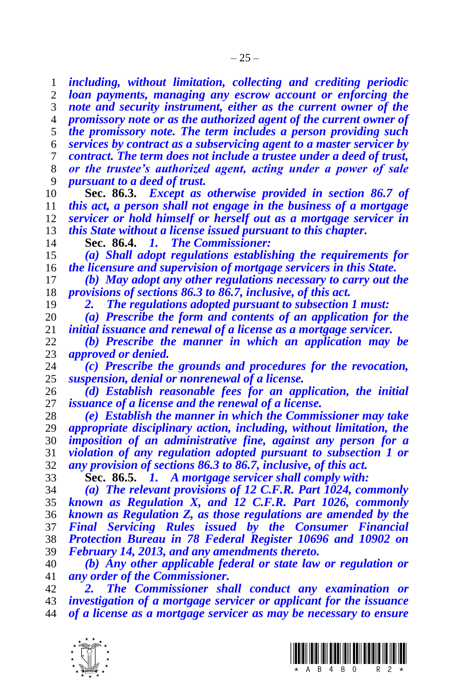*including, without limitation, collecting and crediting periodic loan payments, managing any escrow account or enforcing the note and security instrument, either as the current owner of the promissory note or as the authorized agent of the current owner of the promissory note. The term includes a person providing such services by contract as a subservicing agent to a master servicer by contract. The term does not include a trustee under a deed of trust, or the trustee's authorized agent, acting under a power of sale pursuant to a deed of trust.* **Sec. 86.3.** *Except as otherwise provided in section 86.7 of this act, a person shall not engage in the business of a mortgage servicer or hold himself or herself out as a mortgage servicer in this State without a license issued pursuant to this chapter.* **Sec. 86.4.** *1. The Commissioner: (a) Shall adopt regulations establishing the requirements for the licensure and supervision of mortgage servicers in this State. (b) May adopt any other regulations necessary to carry out the provisions of sections 86.3 to 86.7, inclusive, of this act. 2. The regulations adopted pursuant to subsection 1 must: (a) Prescribe the form and contents of an application for the initial issuance and renewal of a license as a mortgage servicer. (b) Prescribe the manner in which an application may be approved or denied. (c) Prescribe the grounds and procedures for the revocation, suspension, denial or nonrenewal of a license. (d) Establish reasonable fees for an application, the initial issuance of a license and the renewal of a license. (e) Establish the manner in which the Commissioner may take appropriate disciplinary action, including, without limitation, the imposition of an administrative fine, against any person for a violation of any regulation adopted pursuant to subsection 1 or any provision of sections 86.3 to 86.7, inclusive, of this act.* **Sec. 86.5.** *1. A mortgage servicer shall comply with: (a) The relevant provisions of 12 C.F.R. Part 1024, commonly known as Regulation X, and 12 C.F.R. Part 1026, commonly known as Regulation Z, as those regulations are amended by the Final Servicing Rules issued by the Consumer Financial Protection Bureau in 78 Federal Register 10696 and 10902 on February 14, 2013, and any amendments thereto. (b) Any other applicable federal or state law or regulation or any order of the Commissioner. 2. The Commissioner shall conduct any examination or investigation of a mortgage servicer or applicant for the issuance of a license as a mortgage servicer as may be necessary to ensure* 



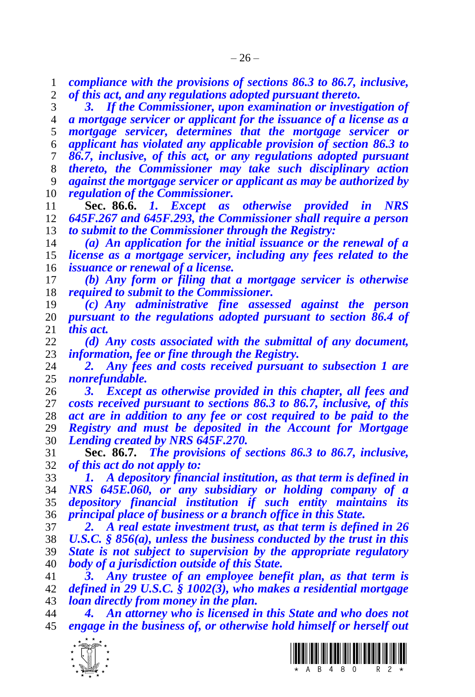*compliance with the provisions of sections 86.3 to 86.7, inclusive, of this act, and any regulations adopted pursuant thereto.*

 *3. If the Commissioner, upon examination or investigation of a mortgage servicer or applicant for the issuance of a license as a mortgage servicer, determines that the mortgage servicer or applicant has violated any applicable provision of section 86.3 to 86.7, inclusive, of this act, or any regulations adopted pursuant thereto, the Commissioner may take such disciplinary action against the mortgage servicer or applicant as may be authorized by regulation of the Commissioner.*

 **Sec. 86.6.** *1. Except as otherwise provided in NRS 645F.267 and 645F.293, the Commissioner shall require a person to submit to the Commissioner through the Registry:*

 *(a) An application for the initial issuance or the renewal of a license as a mortgage servicer, including any fees related to the issuance or renewal of a license.*

 *(b) Any form or filing that a mortgage servicer is otherwise required to submit to the Commissioner.*

 *(c) Any administrative fine assessed against the person pursuant to the regulations adopted pursuant to section 86.4 of this act.* 

 *(d) Any costs associated with the submittal of any document, information, fee or fine through the Registry.*

 *2. Any fees and costs received pursuant to subsection 1 are nonrefundable.* 

 *3. Except as otherwise provided in this chapter, all fees and costs received pursuant to sections 86.3 to 86.7, inclusive, of this act are in addition to any fee or cost required to be paid to the Registry and must be deposited in the Account for Mortgage Lending created by NRS 645F.270.*

 **Sec. 86.7.** *The provisions of sections 86.3 to 86.7, inclusive, of this act do not apply to:*

 *1. A depository financial institution, as that term is defined in NRS 645E.060, or any subsidiary or holding company of a depository financial institution if such entity maintains its principal place of business or a branch office in this State.*

 *2. A real estate investment trust, as that term is defined in 26 U.S.C. § 856(a), unless the business conducted by the trust in this State is not subject to supervision by the appropriate regulatory body of a jurisdiction outside of this State.*

 *3. Any trustee of an employee benefit plan, as that term is defined in 29 U.S.C. § 1002(3), who makes a residential mortgage loan directly from money in the plan.*

 *4. An attorney who is licensed in this State and who does not engage in the business of, or otherwise hold himself or herself out* 



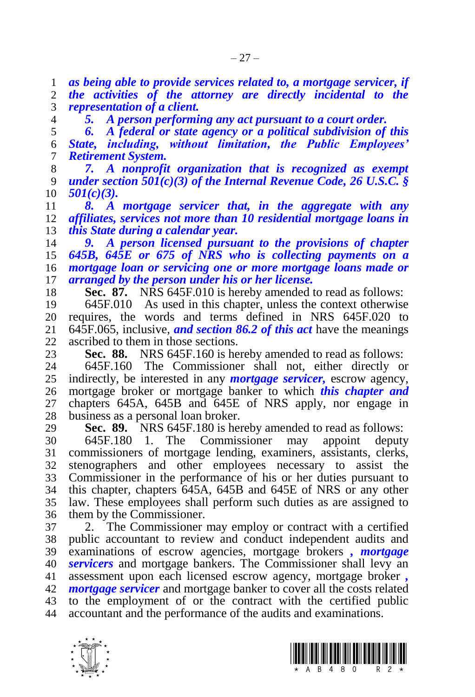*as being able to provide services related to, a mortgage servicer, if the activities of the attorney are directly incidental to the representation of a client.*

*5. A person performing any act pursuant to a court order.*

 *6. A federal or state agency or a political subdivision of this State, including, without limitation, the Public Employees' Retirement System.*

 *7. A nonprofit organization that is recognized as exempt under section 501(c)(3) of the Internal Revenue Code, 26 U.S.C. § 501(c)(3).*

 *8. A mortgage servicer that, in the aggregate with any affiliates, services not more than 10 residential mortgage loans in this State during a calendar year.*

 *9. A person licensed pursuant to the provisions of chapter 645B, 645E or 675 of NRS who is collecting payments on a mortgage loan or servicing one or more mortgage loans made or arranged by the person under his or her license.*

**Sec. 87.** NRS 645F.010 is hereby amended to read as follows:

 645F.010 As used in this chapter, unless the context otherwise 20 requires, the words and terms defined in NRS  $645F.020$  to 21 645F.065, inclusive, and section 86.2 of this act have the meanings 645F.065, inclusive, *and section 86.2 of this act* have the meanings ascribed to them in those sections.

23 **Sec. 88.** NRS 645F.160 is hereby amended to read as follows:<br>24 645F.160 The Commissioner shall not either directly on

 645F.160 The Commissioner shall not, either directly or indirectly, be interested in any *mortgage servicer,* escrow agency, mortgage broker or mortgage banker to which *this chapter and*  chapters 645A, 645B and 645E of NRS apply, nor engage in business as a personal loan broker.

**Sec. 89.** NRS 645F.180 is hereby amended to read as follows:

 645F.180 1. The Commissioner may appoint deputy commissioners of mortgage lending, examiners, assistants, clerks, stenographers and other employees necessary to assist the Commissioner in the performance of his or her duties pursuant to this chapter, chapters 645A, 645B and 645E of NRS or any other law. These employees shall perform such duties as are assigned to them by the Commissioner.

 2. The Commissioner may employ or contract with a certified public accountant to review and conduct independent audits and examinations of escrow agencies, mortgage brokers *, mortgage servicers* and mortgage bankers. The Commissioner shall levy an assessment upon each licensed escrow agency, mortgage broker *, mortgage servicer* and mortgage banker to cover all the costs related to the employment of or the contract with the certified public accountant and the performance of the audits and examinations.



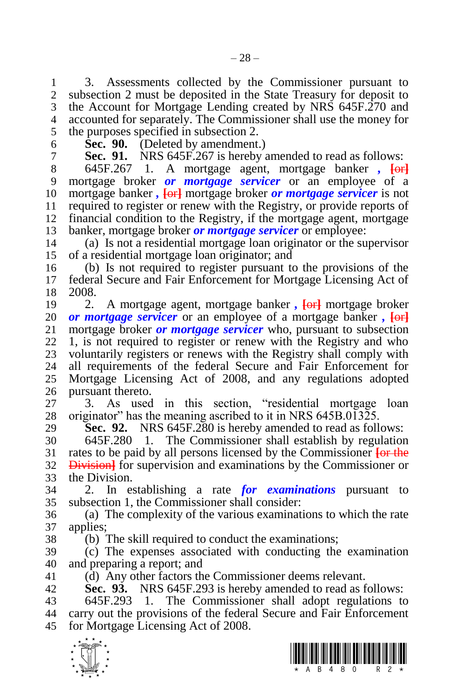1 3. Assessments collected by the Commissioner pursuant to 2 subsection 2 must be deposited in the State Treasury for deposit to subsection 2 must be deposited in the State Treasury for deposit to the Account for Mortgage Lending created by NRS 645F.270 and accounted for separately. The Commissioner shall use the money for the purposes specified in subsection 2.

 **Sec. 90.** (Deleted by amendment.) **Sec. 91.** NRS 645F.267 is hereby amended to read as follows:

 645F.267 1. A mortgage agent, mortgage banker *,* **[**or**]** mortgage broker *or mortgage servicer* or an employee of a mortgage banker *,* **[**or**]** mortgage broker *or mortgage servicer* is not required to register or renew with the Registry, or provide reports of financial condition to the Registry, if the mortgage agent, mortgage banker, mortgage broker *or mortgage servicer* or employee:

 (a) Is not a residential mortgage loan originator or the supervisor of a residential mortgage loan originator; and

 (b) Is not required to register pursuant to the provisions of the 17 federal Secure and Fair Enforcement for Mortgage Licensing Act of 18 2008. 2008.

 2. A mortgage agent, mortgage banker *,* **[**or**]** mortgage broker *or mortgage servicer* or an employee of a mortgage banker,  $\overline{\text{60}}$ <br>21 mortgage broker *or mortgage servicer* who, pursuant to subsection mortgage broker *or mortgage servicer* who, pursuant to subsection 1, is not required to register or renew with the Registry and who 23 voluntarily registers or renews with the Registry shall comply with 24 all requirements of the federal Secure and Fair Enforcement for all requirements of the federal Secure and Fair Enforcement for Mortgage Licensing Act of 2008, and any regulations adopted pursuant thereto.

 3. As used in this section, "residential mortgage loan originator" has the meaning ascribed to it in NRS 645B.01325.

**Sec. 92.** NRS 645F.280 is hereby amended to read as follows:

 645F.280 1. The Commissioner shall establish by regulation rates to be paid by all persons licensed by the Commissioner **[**or the Division**]** for supervision and examinations by the Commissioner or the Division.

 2. In establishing a rate *for examinations* pursuant to subsection 1, the Commissioner shall consider:

 (a) The complexity of the various examinations to which the rate applies;

(b) The skill required to conduct the examinations;

 (c) The expenses associated with conducting the examination and preparing a report; and

(d) Any other factors the Commissioner deems relevant.

**Sec. 93.** NRS 645F.293 is hereby amended to read as follows:

 645F.293 1. The Commissioner shall adopt regulations to carry out the provisions of the federal Secure and Fair Enforcement for Mortgage Licensing Act of 2008.



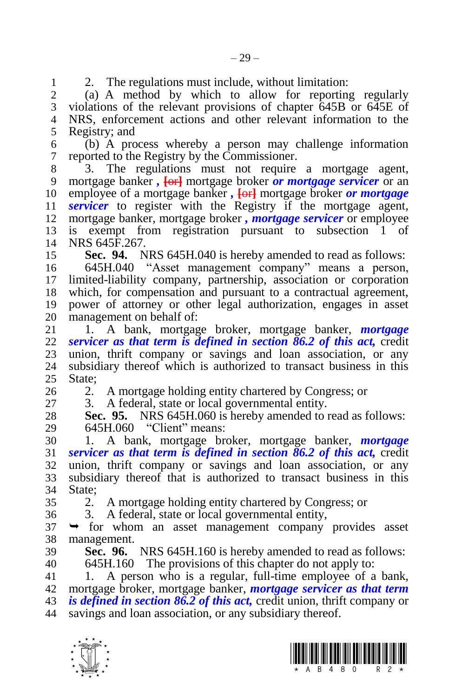1 2. The regulations must include, without limitation:<br>2 (a) A method by which to allow for reportin

 (a) A method by which to allow for reporting regularly violations of the relevant provisions of chapter 645B or 645E of NRS, enforcement actions and other relevant information to the Registry; and

 (b) A process whereby a person may challenge information reported to the Registry by the Commissioner.

 $\overline{3}$ . The regulations must not require a mortgage agent,<br>9 mortgage banker,  $\overline{6}$  mortgage broker *or mortgage servicer* or an mortgage banker *,* **[**or**]** mortgage broker *or mortgage servicer* or an employee of a mortgage banker *,* **[**or**]** mortgage broker *or mortgage servicer* to register with the Registry if the mortgage agent, mortgage banker, mortgage broker *, mortgage servicer* or employee is exempt from registration pursuant to subsection 1 of NRS 645F.267.

**Sec. 94.** NRS 645H.040 is hereby amended to read as follows:

 645H.040 "Asset management company" means a person, limited-liability company, partnership, association or corporation which, for compensation and pursuant to a contractual agreement, power of attorney or other legal authorization, engages in asset 20 management on behalf of:<br>21 1. A bank, mortgag

 1. A bank, mortgage broker, mortgage banker, *mortgage servicer as that term is defined in section 86.2 of this act,* credit 23 union, thrift company or savings and loan association, or any 24 subsidiary thereof which is authorized to transact business in this subsidiary thereof which is authorized to transact business in this State:

2. A mortgage holding entity chartered by Congress; or

3. A federal, state or local governmental entity.

 **Sec. 95.** NRS 645H.060 is hereby amended to read as follows: 645H.060 "Client" means:

 1. A bank, mortgage broker, mortgage banker, *mortgage servicer as that term is defined in section 86.2 of this act,* credit union, thrift company or savings and loan association, or any subsidiary thereof that is authorized to transact business in this State;

2. A mortgage holding entity chartered by Congress; or

3. A federal, state or local governmental entity,

 $37 \rightarrow$  for whom an asset management company provides asset management.

 **Sec. 96.** NRS 645H.160 is hereby amended to read as follows: 645H.160 The provisions of this chapter do not apply to:

1. A person who is a regular, full-time employee of a bank,

mortgage broker, mortgage banker, *mortgage servicer as that term* 

*is defined in section 86.2 of this act,* credit union, thrift company or

savings and loan association, or any subsidiary thereof.



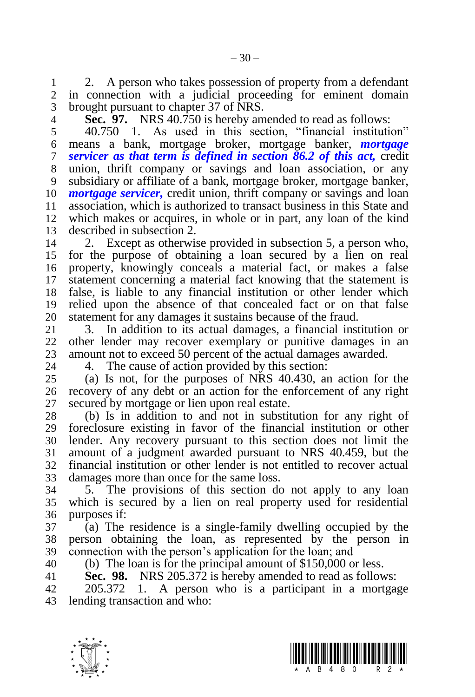1 2. A person who takes possession of property from a defendant 2 in connection with a judicial proceeding for eminent domain in connection with a judicial proceeding for eminent domain brought pursuant to chapter 37 of NRS.

**Sec. 97.** NRS 40.750 is hereby amended to read as follows:

 40.750 1. As used in this section, "financial institution" means a bank, mortgage broker, mortgage banker, *mortgage servicer as that term is defined in section 86.2 of this act,* credit union, thrift company or savings and loan association, or any subsidiary or affiliate of a bank, mortgage broker, mortgage banker, *mortgage servicer,* credit union, thrift company or savings and loan 11 association, which is authorized to transact business in this State and<br>12 which makes or acquires, in whole or in part, any loan of the kind which makes or acquires, in whole or in part, any loan of the kind described in subsection 2.

 2. Except as otherwise provided in subsection 5, a person who, for the purpose of obtaining a loan secured by a lien on real property, knowingly conceals a material fact, or makes a false statement concerning a material fact knowing that the statement is false, is liable to any financial institution or other lender which relied upon the absence of that concealed fact or on that false 20 statement for any damages it sustains because of the fraud.<br>21 3. In addition to its actual damages, a financial inst

 3. In addition to its actual damages, a financial institution or other lender may recover exemplary or punitive damages in an 23 amount not to exceed 50 percent of the actual damages awarded.<br>24 4 The cause of action provided by this section:

4. The cause of action provided by this section:

 (a) Is not, for the purposes of NRS 40.430, an action for the recovery of any debt or an action for the enforcement of any right secured by mortgage or lien upon real estate.

 (b) Is in addition to and not in substitution for any right of foreclosure existing in favor of the financial institution or other lender. Any recovery pursuant to this section does not limit the amount of a judgment awarded pursuant to NRS 40.459, but the financial institution or other lender is not entitled to recover actual damages more than once for the same loss.

 5. The provisions of this section do not apply to any loan which is secured by a lien on real property used for residential purposes if:

 (a) The residence is a single-family dwelling occupied by the person obtaining the loan, as represented by the person in connection with the person's application for the loan; and

(b) The loan is for the principal amount of \$150,000 or less.

**Sec. 98.** NRS 205.372 is hereby amended to read as follows:

 205.372 1. A person who is a participant in a mortgage lending transaction and who:



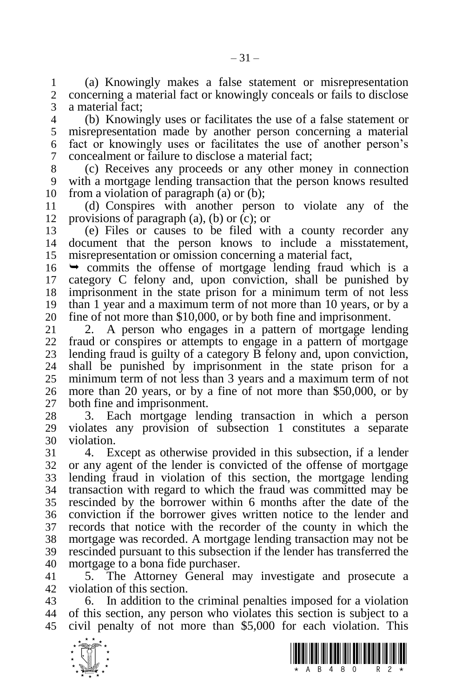(a) Knowingly makes a false statement or misrepresentation concerning a material fact or knowingly conceals or fails to disclose a material fact;

 (b) Knowingly uses or facilitates the use of a false statement or misrepresentation made by another person concerning a material fact or knowingly uses or facilitates the use of another person's concealment or failure to disclose a material fact;

 (c) Receives any proceeds or any other money in connection with a mortgage lending transaction that the person knows resulted from a violation of paragraph (a) or (b);

 (d) Conspires with another person to violate any of the provisions of paragraph (a), (b) or (c); or

 (e) Files or causes to be filed with a county recorder any document that the person knows to include a misstatement, misrepresentation or omission concerning a material fact,

 $16 \rightarrow$  commits the offense of mortgage lending fraud which is a category C felony and, upon conviction, shall be punished by imprisonment in the state prison for a minimum term of not less 19 than 1 year and a maximum term of not more than 10 years, or by a 20 fine of not more than \$10,000, or by both fine and imprisonment. 20 fine of not more than \$10,000, or by both fine and imprisonment.<br>21 2. A person who engages in a pattern of mortgage lend

2. A person who engages in a pattern of mortgage lending fraud or conspires or attempts to engage in a pattern of mortgage 23 lending fraud is guilty of a category B felony and, upon conviction,<br>24 shall be punished by imprisonment in the state prison for a shall be punished by imprisonment in the state prison for a minimum term of not less than 3 years and a maximum term of not more than 20 years, or by a fine of not more than \$50,000, or by both fine and imprisonment.

 3. Each mortgage lending transaction in which a person violates any provision of subsection 1 constitutes a separate violation.

 4. Except as otherwise provided in this subsection, if a lender or any agent of the lender is convicted of the offense of mortgage lending fraud in violation of this section, the mortgage lending transaction with regard to which the fraud was committed may be rescinded by the borrower within 6 months after the date of the conviction if the borrower gives written notice to the lender and records that notice with the recorder of the county in which the mortgage was recorded. A mortgage lending transaction may not be rescinded pursuant to this subsection if the lender has transferred the mortgage to a bona fide purchaser.

 5. The Attorney General may investigate and prosecute a violation of this section.

 6. In addition to the criminal penalties imposed for a violation of this section, any person who violates this section is subject to a civil penalty of not more than \$5,000 for each violation. This



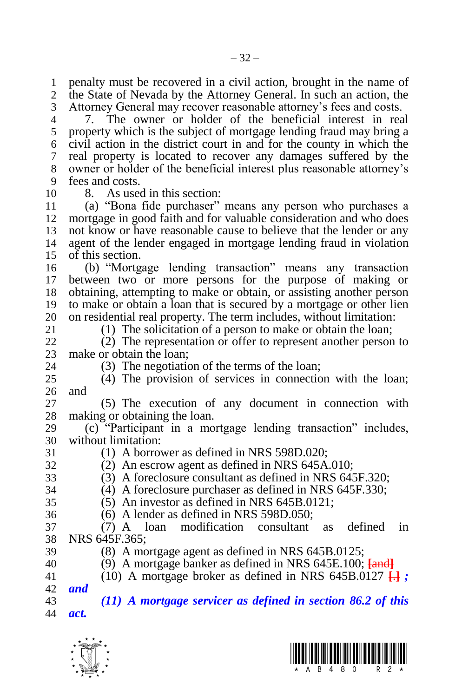penalty must be recovered in a civil action, brought in the name of the State of Nevada by the Attorney General. In such an action, the Attorney General may recover reasonable attorney's fees and costs.

 7. The owner or holder of the beneficial interest in real property which is the subject of mortgage lending fraud may bring a civil action in the district court in and for the county in which the real property is located to recover any damages suffered by the owner or holder of the beneficial interest plus reasonable attorney's fees and costs.

8. As used in this section:

 (a) "Bona fide purchaser" means any person who purchases a mortgage in good faith and for valuable consideration and who does not know or have reasonable cause to believe that the lender or any agent of the lender engaged in mortgage lending fraud in violation of this section.

 (b) "Mortgage lending transaction" means any transaction between two or more persons for the purpose of making or obtaining, attempting to make or obtain, or assisting another person to make or obtain a loan that is secured by a mortgage or other lien 20 on residential real property. The term includes, without limitation:<br>21 (1) The solicitation of a person to make or obtain the loan:

(1) The solicitation of a person to make or obtain the loan;

 (2) The representation or offer to represent another person to 23 make or obtain the loan;<br>24 (3) The negotiation

 $(3)$  The negotiation of the terms of the loan;

 (4) The provision of services in connection with the loan; and

 (5) The execution of any document in connection with making or obtaining the loan.

 (c) "Participant in a mortgage lending transaction" includes, without limitation:

(1) A borrower as defined in NRS 598D.020;

- (2) An escrow agent as defined in NRS 645A.010;
- (3) A foreclosure consultant as defined in NRS 645F.320;
- (4) A foreclosure purchaser as defined in NRS 645F.330;
- (5) An investor as defined in NRS 645B.0121;
- (6) A lender as defined in NRS 598D.050;

 (7) A loan modification consultant as defined in NRS 645F.365;

- 
- (8) A mortgage agent as defined in NRS 645B.0125;
- (9) A mortgage banker as defined in NRS 645E.100; **[**and**]**
- (10) A mortgage broker as defined in NRS 645B.0127 **[**.**]** *;*

# *and*

 *(11) A mortgage servicer as defined in section 86.2 of this act.*



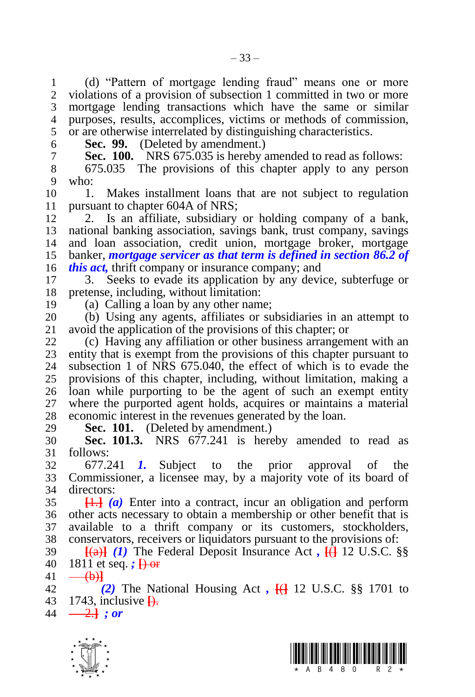(d) "Pattern of mortgage lending fraud" means one or more violations of a provision of subsection 1 committed in two or more mortgage lending transactions which have the same or similar purposes, results, accomplices, victims or methods of commission, or are otherwise interrelated by distinguishing characteristics.

**Sec. 99.** (Deleted by amendment.)

**Sec. 100.** NRS 675.035 is hereby amended to read as follows:

8 675.035 The provisions of this chapter apply to any person<br>9 who: who:

 1. Makes installment loans that are not subject to regulation pursuant to chapter 604A of NRS;

 2. Is an affiliate, subsidiary or holding company of a bank, national banking association, savings bank, trust company, savings and loan association, credit union, mortgage broker, mortgage banker, *mortgage servicer as that term is defined in section 86.2 of this act,* thrift company or insurance company; and

 3. Seeks to evade its application by any device, subterfuge or pretense, including, without limitation:

(a) Calling a loan by any other name;

20 (b) Using any agents, affiliates or subsidiaries in an attempt to 21 avoid the application of the provisions of this chapter: or avoid the application of the provisions of this chapter; or

 (c) Having any affiliation or other business arrangement with an 23 entity that is exempt from the provisions of this chapter pursuant to 24 subsection 1 of NRS 675.040, the effect of which is to evade the subsection 1 of NRS  $675.040$ , the effect of which is to evade the provisions of this chapter, including, without limitation, making a loan while purporting to be the agent of such an exempt entity where the purported agent holds, acquires or maintains a material economic interest in the revenues generated by the loan.

**Sec. 101.** (Deleted by amendment.)

 **Sec. 101.3.** NRS 677.241 is hereby amended to read as follows:

 677.241 *1.* Subject to the prior approval of the Commissioner, a licensee may, by a majority vote of its board of directors:

 **[**1.**]** *(a)* Enter into a contract, incur an obligation and perform other acts necessary to obtain a membership or other benefit that is available to a thrift company or its customers, stockholders, conservators, receivers or liquidators pursuant to the provisions of:

 **[**(a)**]** *(1)* The Federal Deposit Insurance Act *,* **[**(**]** 12 U.S.C. §§ 1811 et seq. *;* **[**) or

 $41 \quad - \quad \text{(b)}$ 

 *(2)* The National Housing Act *,* **[**(**]** 12 U.S.C. §§ 1701 to 1743, inclusive **[**).

 $44 \quad -2.1$  *; or* 



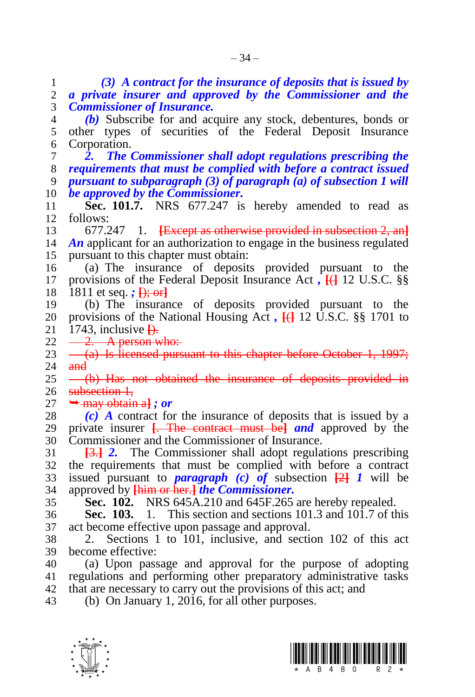*(3) A contract for the insurance of deposits that is issued by a private insurer and approved by the Commissioner and the Commissioner of Insurance.*

 *(b)* Subscribe for and acquire any stock, debentures, bonds or other types of securities of the Federal Deposit Insurance Corporation.

 *2. The Commissioner shall adopt regulations prescribing the requirements that must be complied with before a contract issued pursuant to subparagraph (3) of paragraph (a) of subsection 1 will be approved by the Commissioner.*

 **Sec. 101.7.** NRS 677.247 is hereby amended to read as follows:

677.247 1. **[**Except as otherwise provided in subsection 2, an**]**

 *An* applicant for an authorization to engage in the business regulated pursuant to this chapter must obtain:

 (a) The insurance of deposits provided pursuant to the provisions of the Federal Deposit Insurance Act *,* **[**(**]** 12 U.S.C. §§ 1811 et seq. *;* **[**); or**]**

 (b) The insurance of deposits provided pursuant to the 20 provisions of the National Housing Act,  $\frac{1}{11}$  12 U.S.C. §§ 1701 to 21 1743, inclusive  $\frac{1}{11}$ . 1743, inclusive  $\overline{H}$ .

22  $-2$ . A person who:

23  $-$  (a) Is licensed pursuant to this chapter before October 1, 1997;<br>24 and and

25 <del>(b) Has not obtained the insurance of deposits provided in</del> 26 subsection 1.

 $27 \rightarrow$  may obtain a]; or

 *(c) A* contract for the insurance of deposits that is issued by a private insurer **[**. The contract must be**]** *and* approved by the Commissioner and the Commissioner of Insurance.

 **[**3.**]** *2.* The Commissioner shall adopt regulations prescribing the requirements that must be complied with before a contract issued pursuant to *paragraph (c) of* subsection **[**2**]** *1* will be approved by **[**him or her.**]** *the Commissioner.*

**Sec. 102.** NRS 645A.210 and 645F.265 are hereby repealed.

 **Sec. 103.** 1. This section and sections 101.3 and 101.7 of this act become effective upon passage and approval.

 2. Sections 1 to 101, inclusive, and section 102 of this act become effective:

 (a) Upon passage and approval for the purpose of adopting regulations and performing other preparatory administrative tasks that are necessary to carry out the provisions of this act; and

(b) On January 1, 2016, for all other purposes.